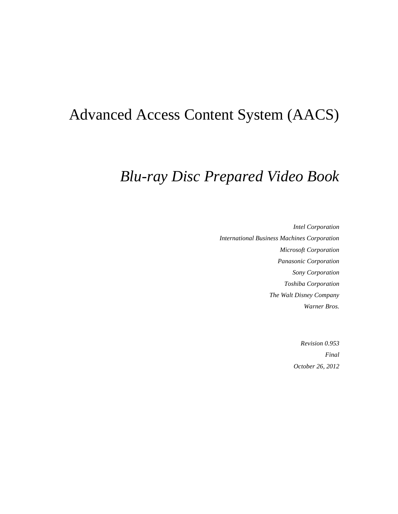# Advanced Access Content System (AACS)

# *Blu-ray Disc Prepared Video Book*

*Intel Corporation International Business Machines Corporation Microsoft Corporation Panasonic Corporation Sony Corporation Toshiba Corporation The Walt Disney Company Warner Bros.*

> *Revision 0.953 Final October 26, 2012*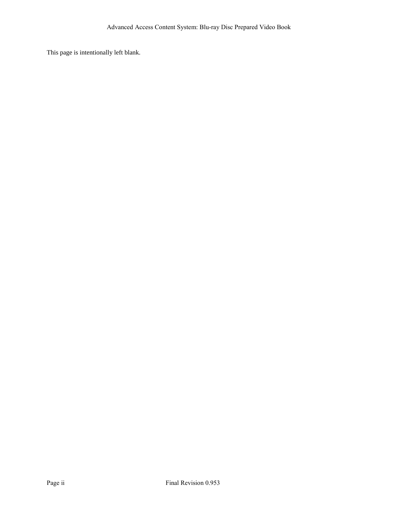This page is intentionally left blank.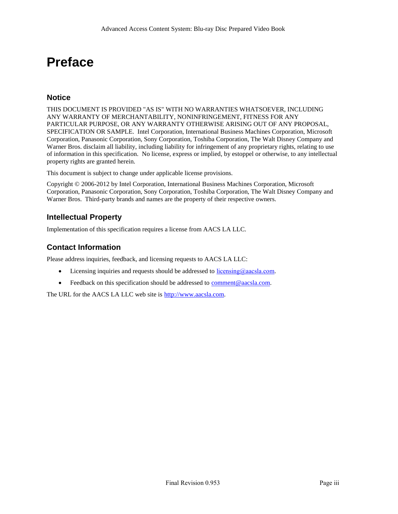## **Preface**

### **Notice**

THIS DOCUMENT IS PROVIDED "AS IS" WITH NO WARRANTIES WHATSOEVER, INCLUDING ANY WARRANTY OF MERCHANTABILITY, NONINFRINGEMENT, FITNESS FOR ANY PARTICULAR PURPOSE, OR ANY WARRANTY OTHERWISE ARISING OUT OF ANY PROPOSAL, SPECIFICATION OR SAMPLE. Intel Corporation, International Business Machines Corporation, Microsoft Corporation, Panasonic Corporation, Sony Corporation, Toshiba Corporation, The Walt Disney Company and Warner Bros. disclaim all liability, including liability for infringement of any proprietary rights, relating to use of information in this specification. No license, express or implied, by estoppel or otherwise, to any intellectual property rights are granted herein.

This document is subject to change under applicable license provisions.

Copyright © 2006-2012 by Intel Corporation, International Business Machines Corporation, Microsoft Corporation, Panasonic Corporation, Sony Corporation, Toshiba Corporation, The Walt Disney Company and Warner Bros. Third-party brands and names are the property of their respective owners.

## **Intellectual Property**

Implementation of this specification requires a license from AACS LA LLC.

## **Contact Information**

Please address inquiries, feedback, and licensing requests to AACS LA LLC:

- Licensing inquiries and requests should be addressed to  $\frac{ \text{licensing}(a) \cdot \text{aacsla.com}}{ \text{icensing}(a) \cdot \text{aca}}$ .
- Feedback on this specification should be addressed to [comment@aacsla.com.](mailto:comment@aacsla.com)

The URL for the AACS LA LLC web site is [http://www.aacsla.com.](http://www.aacsla.com/)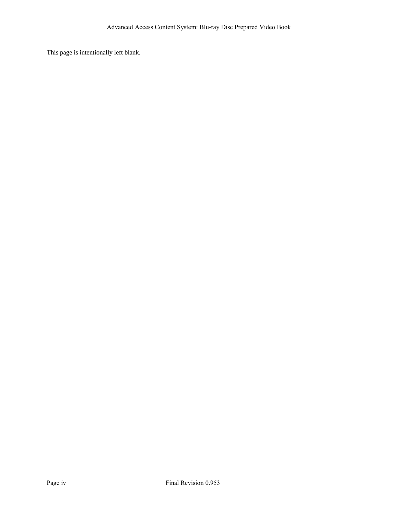This page is intentionally left blank.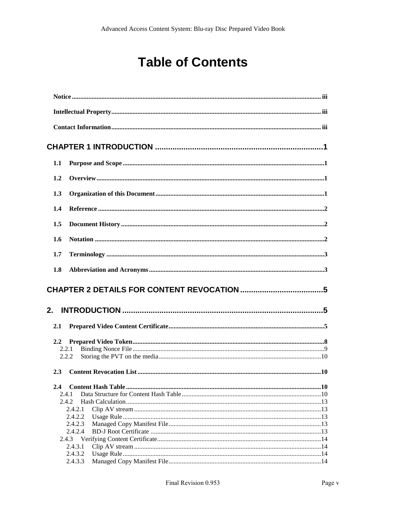# **Table of Contents**

| 1.1              |                    |  |
|------------------|--------------------|--|
| 1.2              |                    |  |
| 1.3              |                    |  |
| 1.4              |                    |  |
| 1.5              |                    |  |
| 1.6              |                    |  |
| 1.7              |                    |  |
| 1.8              |                    |  |
|                  |                    |  |
|                  |                    |  |
|                  |                    |  |
| 2.               |                    |  |
| 2.1              |                    |  |
|                  |                    |  |
| $2.2\phantom{0}$ |                    |  |
|                  | 2.2.1              |  |
|                  | 2.2.2              |  |
| 2.3              |                    |  |
|                  |                    |  |
| 2.4              |                    |  |
|                  | 2.4.1              |  |
|                  | 2.42               |  |
|                  | 2.4.2.1            |  |
|                  | 2.4.2.2            |  |
|                  | 2.4.2.3            |  |
|                  | 2.4.2.4            |  |
|                  |                    |  |
|                  | 2.4.3.1<br>2.4.3.2 |  |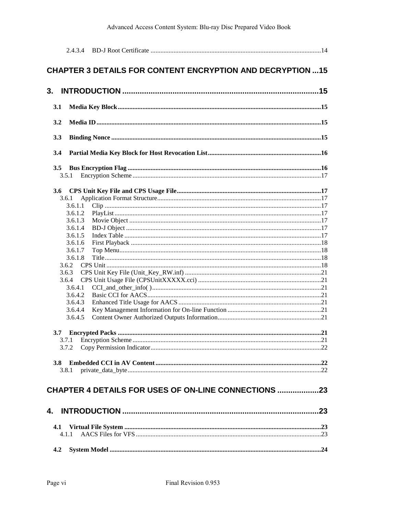|               |                    | <b>CHAPTER 3 DETAILS FOR CONTENT ENCRYPTION AND DECRYPTION  15</b> |  |
|---------------|--------------------|--------------------------------------------------------------------|--|
| 3.            |                    |                                                                    |  |
| 3.1           |                    |                                                                    |  |
| 3.2           |                    |                                                                    |  |
| 3.3           |                    |                                                                    |  |
| 3.4           |                    |                                                                    |  |
| $3.5^{\circ}$ | 3.5.1              |                                                                    |  |
|               |                    |                                                                    |  |
|               | 3.6.1              |                                                                    |  |
|               | 3.6.1.1            |                                                                    |  |
|               | 3.6.1.2            |                                                                    |  |
|               | 3.6.1.3<br>3.6.1.4 |                                                                    |  |
|               | 3.6.1.5            |                                                                    |  |
|               | 3.6.1.6            |                                                                    |  |
|               | 3.6.1.7            |                                                                    |  |
|               | 3.6.1.8            |                                                                    |  |
|               | 3.6.2              |                                                                    |  |
|               | 3.6.3              |                                                                    |  |
|               | 3.6.4              |                                                                    |  |
|               | 3.6.4.1            |                                                                    |  |
|               | 3.6.4.2            |                                                                    |  |
|               | 3.6.4.3            |                                                                    |  |
|               | 3.6.4.4            |                                                                    |  |
|               | 3.6.4.5            |                                                                    |  |
|               |                    |                                                                    |  |
|               | 3.7.1              |                                                                    |  |
|               | 3.7.2              |                                                                    |  |
| <b>3.8</b>    | 3.8.1              |                                                                    |  |
|               |                    |                                                                    |  |
|               |                    | <b>CHAPTER 4 DETAILS FOR USES OF ON-LINE CONNECTIONS 23</b>        |  |
| 4.            |                    |                                                                    |  |
| 4.1           |                    |                                                                    |  |
|               | 4.1.1              |                                                                    |  |
| 4.2           |                    |                                                                    |  |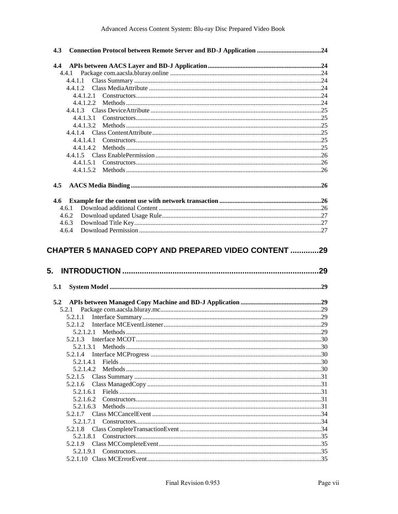| 4.3                                                         |  |
|-------------------------------------------------------------|--|
| 4.4                                                         |  |
| 4.4.1                                                       |  |
| 4.4.1.1                                                     |  |
| 4.4.1.2                                                     |  |
| 4.4.1.2.1                                                   |  |
| 4.4.1.2.2                                                   |  |
| 4.4.1.3                                                     |  |
| 4.4.1.3.1                                                   |  |
| 4.4.1.3.2                                                   |  |
|                                                             |  |
| 4.4.1.4.1                                                   |  |
| 4.4.1.4.2                                                   |  |
|                                                             |  |
| 4.4.1.5.1                                                   |  |
| 4.4.1.5.2                                                   |  |
| 4.5                                                         |  |
| 4.6                                                         |  |
| 4.6.1                                                       |  |
| 4.6.2                                                       |  |
| 4.6.3                                                       |  |
| 4.6.4                                                       |  |
| <b>CHAPTER 5 MANAGED COPY AND PREPARED VIDEO CONTENT 29</b> |  |
|                                                             |  |
|                                                             |  |
| 5.1<br>5.2                                                  |  |
| 5.2.1                                                       |  |
| 5.2.1.1                                                     |  |
| 5.2.1.2                                                     |  |
|                                                             |  |
|                                                             |  |
| 5.2.1.3.1                                                   |  |
|                                                             |  |
| 5.2.1.4                                                     |  |
| 5.2.1.4.1<br>5.2.1.4.2                                      |  |
| 5.2.1.5                                                     |  |
|                                                             |  |
| 5.2.1.6                                                     |  |
| 5.2.1.6.1                                                   |  |
| 5.2.1.6.2                                                   |  |
| 5.2.1.6.3                                                   |  |
| 5.2.1.7                                                     |  |
| 5.2.1.7.1                                                   |  |
| 5.2.1.8                                                     |  |
| 5.2.1.8.1                                                   |  |
| 5.2.1.9                                                     |  |
| 5.2.1.9.1                                                   |  |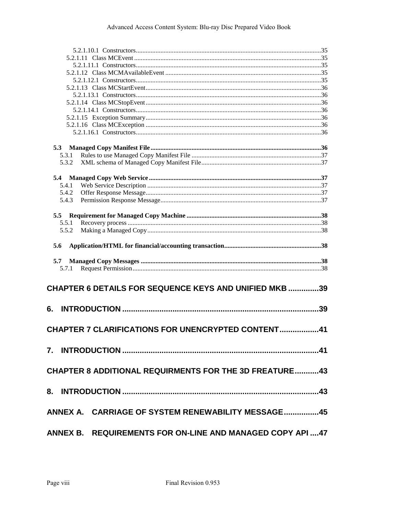| 5.3                                                           |     |
|---------------------------------------------------------------|-----|
| 5.3.1                                                         |     |
| 5.3.2                                                         |     |
|                                                               |     |
| 5.4                                                           |     |
| 5.4.1                                                         |     |
| 5.4.2<br>5.4.3                                                |     |
|                                                               |     |
| 5.5                                                           |     |
| 5.5.1                                                         |     |
| 5.5.2                                                         |     |
|                                                               |     |
| 5.6                                                           |     |
| 5.7                                                           |     |
| 5.7.1                                                         |     |
|                                                               |     |
| <b>CHAPTER 6 DETAILS FOR SEQUENCE KEYS AND UNIFIED MKB 39</b> |     |
|                                                               |     |
|                                                               |     |
| 6.                                                            | .39 |
|                                                               |     |
| <b>CHAPTER 7 CLARIFICATIONS FOR UNENCRYPTED CONTENT41</b>     |     |
|                                                               |     |
|                                                               |     |
|                                                               |     |
| <b>CHAPTER 8 ADDITIONAL REQUIRMENTS FOR THE 3D FREATURE43</b> |     |
|                                                               |     |
|                                                               |     |
|                                                               |     |
|                                                               |     |
| ANNEX A. CARRIAGE OF SYSTEM RENEWABILITY MESSAGE45            |     |
|                                                               |     |
| ANNEX B. REQUIREMENTS FOR ON-LINE AND MANAGED COPY API 47     |     |
|                                                               |     |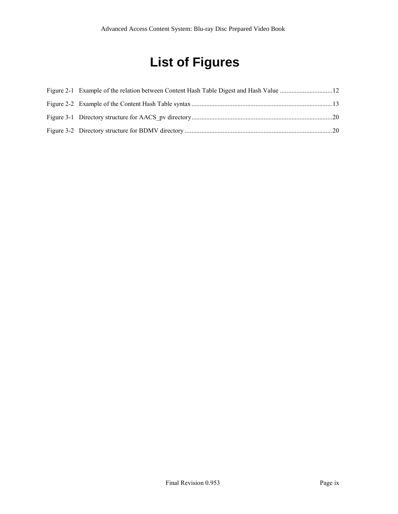# **List of Figures**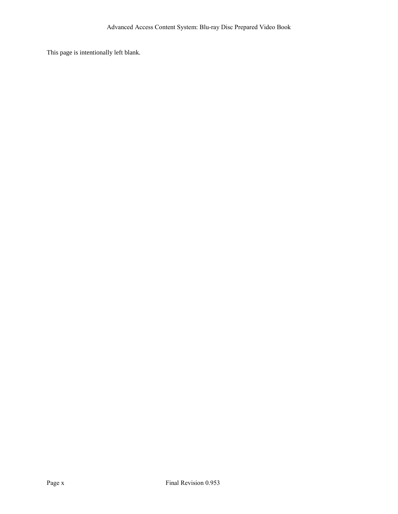This page is intentionally left blank.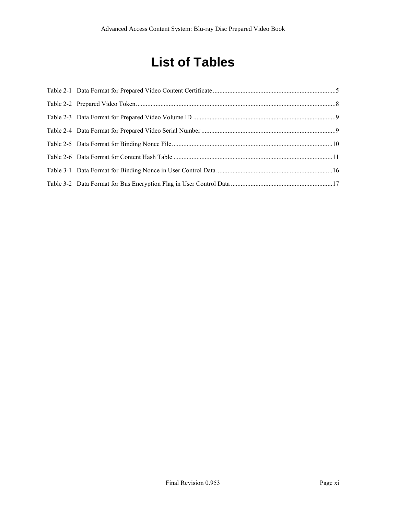## **List of Tables**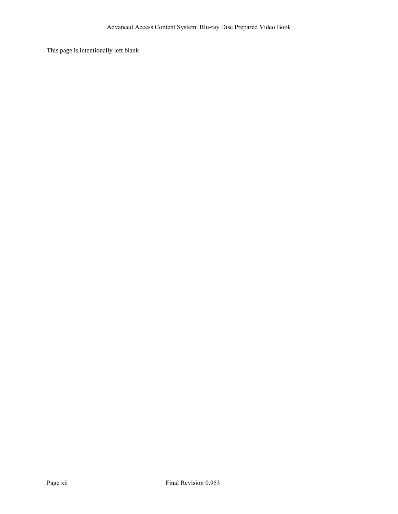This page is intentionally left blank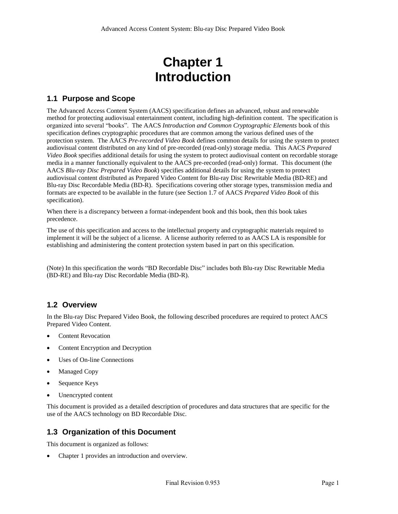# **Chapter 1 Introduction**

### **1.1 Purpose and Scope**

The Advanced Access Content System (AACS) specification defines an advanced, robust and renewable method for protecting audiovisual entertainment content, including high-definition content. The specification is organized into several "books". The AACS *Introduction and Common Cryptographic Elements* book of this specification defines cryptographic procedures that are common among the various defined uses of the protection system. The AACS *Pre-recorded Video Book* defines common details for using the system to protect audiovisual content distributed on any kind of pre-recorded (read-only) storage media. This AACS *Prepared Video Book* specifies additional details for using the system to protect audiovisual content on recordable storage media in a manner functionally equivalent to the AACS pre-recorded (read-only) format. This document (the AACS *Blu-ray Disc Prepared Video Book*) specifies additional details for using the system to protect audiovisual content distributed as Prepared Video Content for Blu-ray Disc Rewritable Media (BD-RE) and Blu-ray Disc Recordable Media (BD-R). Specifications covering other storage types, transmission media and formats are expected to be available in the future (see Section 1.7 of AACS *Prepared Video Book* of this specification).

When there is a discrepancy between a format-independent book and this book, then this book takes precedence.

The use of this specification and access to the intellectual property and cryptographic materials required to implement it will be the subject of a license. A license authority referred to as AACS LA is responsible for establishing and administering the content protection system based in part on this specification.

(Note) In this specification the words "BD Recordable Disc" includes both Blu-ray Disc Rewritable Media (BD-RE) and Blu-ray Disc Recordable Media (BD-R).

## **1.2 Overview**

In the Blu-ray Disc Prepared Video Book, the following described procedures are required to protect AACS Prepared Video Content.

- Content Revocation
- Content Encryption and Decryption
- Uses of On-line Connections
- Managed Copy
- Sequence Keys
- Unencrypted content

This document is provided as a detailed description of procedures and data structures that are specific for the use of the AACS technology on BD Recordable Disc.

#### **1.3 Organization of this Document**

This document is organized as follows:

Chapter 1 provides an introduction and overview.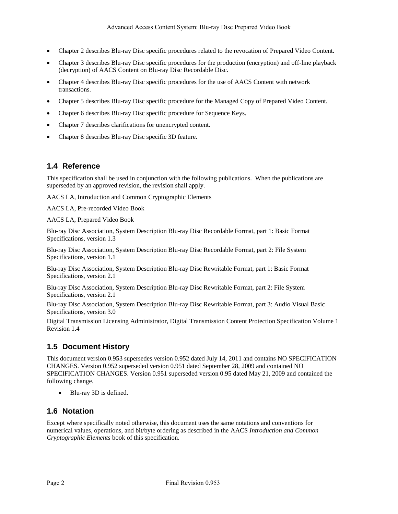- Chapter 2 describes Blu-ray Disc specific procedures related to the revocation of Prepared Video Content.
- Chapter 3 describes Blu-ray Disc specific procedures for the production (encryption) and off-line playback (decryption) of AACS Content on Blu-ray Disc Recordable Disc.
- Chapter 4 describes Blu-ray Disc specific procedures for the use of AACS Content with network transactions.
- Chapter 5 describes Blu-ray Disc specific procedure for the Managed Copy of Prepared Video Content.
- Chapter 6 describes Blu-ray Disc specific procedure for Sequence Keys.
- Chapter 7 describes clarifications for unencrypted content.
- Chapter 8 describes Blu-ray Disc specific 3D feature.

### **1.4 Reference**

This specification shall be used in conjunction with the following publications. When the publications are superseded by an approved revision, the revision shall apply.

AACS LA, Introduction and Common Cryptographic Elements

AACS LA, Pre-recorded Video Book

AACS LA, Prepared Video Book

Blu-ray Disc Association, System Description Blu-ray Disc Recordable Format, part 1: Basic Format Specifications, version 1.3

Blu-ray Disc Association, System Description Blu-ray Disc Recordable Format, part 2: File System Specifications, version 1.1

Blu-ray Disc Association, System Description Blu-ray Disc Rewritable Format, part 1: Basic Format Specifications, version 2.1

Blu-ray Disc Association, System Description Blu-ray Disc Rewritable Format, part 2: File System Specifications, version 2.1

Blu-ray Disc Association, System Description Blu-ray Disc Rewritable Format, part 3: Audio Visual Basic Specifications, version 3.0

Digital Transmission Licensing Administrator, Digital Transmission Content Protection Specification Volume 1 Revision 1.4

## **1.5 Document History**

This document version 0.953 supersedes version 0.952 dated July 14, 2011 and contains NO SPECIFICATION CHANGES. Version 0.952 superseded version 0.951 dated September 28, 2009 and contained NO SPECIFICATION CHANGES. Version 0.951 superseded version 0.95 dated May 21, 2009 and contained the following change.

Blu-ray 3D is defined.

#### **1.6 Notation**

Except where specifically noted otherwise, this document uses the same notations and conventions for numerical values, operations, and bit/byte ordering as described in the AACS *Introduction and Common Cryptographic Elements* book of this specification.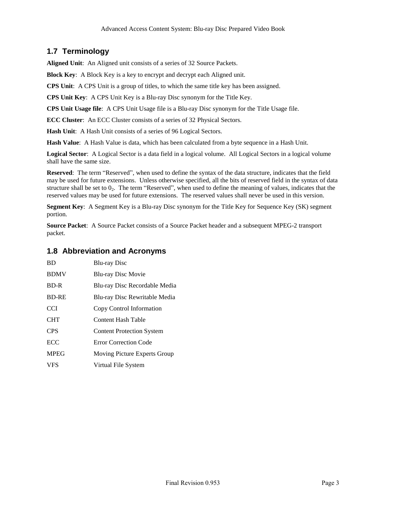### **1.7 Terminology**

**Aligned Unit**: An Aligned unit consists of a series of 32 Source Packets.

**Block Key**: A Block Key is a key to encrypt and decrypt each Aligned unit.

**CPS Unit**: A CPS Unit is a group of titles, to which the same title key has been assigned.

**CPS Unit Key**: A CPS Unit Key is a Blu-ray Disc synonym for the Title Key.

**CPS Unit Usage file**: A CPS Unit Usage file is a Blu-ray Disc synonym for the Title Usage file.

**ECC Cluster**: An ECC Cluster consists of a series of 32 Physical Sectors.

**Hash Unit**: A Hash Unit consists of a series of 96 Logical Sectors.

**Hash Value**: A Hash Value is data, which has been calculated from a byte sequence in a Hash Unit.

**Logical Sector**: A Logical Sector is a data field in a logical volume. All Logical Sectors in a logical volume shall have the same size.

**Reserved**: The term "Reserved", when used to define the syntax of the data structure, indicates that the field may be used for future extensions. Unless otherwise specified, all the bits of reserved field in the syntax of data structure shall be set to  $0<sub>2</sub>$ . The term "Reserved", when used to define the meaning of values, indicates that the reserved values may be used for future extensions. The reserved values shall never be used in this version.

**Segment Key**: A Segment Key is a Blu-ray Disc synonym for the Title Key for Sequence Key (SK) segment portion.

**Source Packet**: A Source Packet consists of a Source Packet header and a subsequent MPEG-2 transport packet.

#### **1.8 Abbreviation and Acronyms**

| <b>BD</b>    | <b>Blu-ray Disc</b>              |
|--------------|----------------------------------|
| <b>BDMV</b>  | <b>Blu-ray Disc Movie</b>        |
| BD-R         | Blu-ray Disc Recordable Media    |
| <b>BD-RE</b> | Blu-ray Disc Rewritable Media    |
| CCI.         | Copy Control Information         |
| <b>CHT</b>   | Content Hash Table               |
| <b>CPS</b>   | <b>Content Protection System</b> |
| ECC          | <b>Error Correction Code</b>     |
| <b>MPEG</b>  | Moving Picture Experts Group     |
| <b>VFS</b>   | Virtual File System              |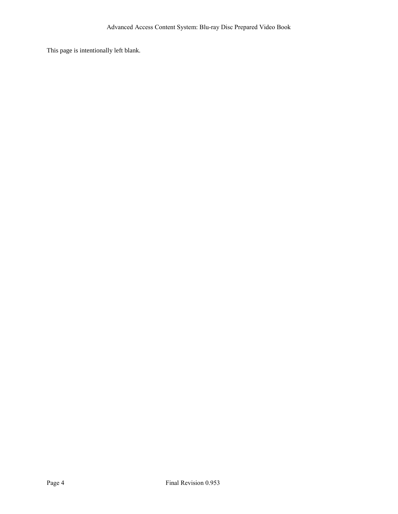This page is intentionally left blank.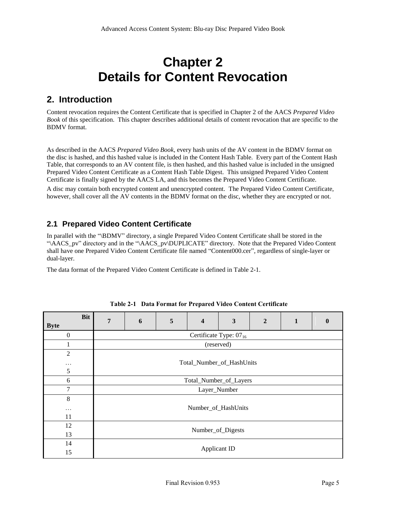## **Chapter 2 Details for Content Revocation**

## **2. Introduction**

Content revocation requires the Content Certificate that is specified in Chapter 2 of the AACS *Prepared Video Book* of this specification. This chapter describes additional details of content revocation that are specific to the BDMV format.

As described in the AACS *Prepared Video Book*, every hash units of the AV content in the BDMV format on the disc is hashed, and this hashed value is included in the Content Hash Table. Every part of the Content Hash Table, that corresponds to an AV content file, is then hashed, and this hashed value is included in the unsigned Prepared Video Content Certificate as a Content Hash Table Digest. This unsigned Prepared Video Content Certificate is finally signed by the AACS LA, and this becomes the Prepared Video Content Certificate.

A disc may contain both encrypted content and unencrypted content. The Prepared Video Content Certificate, however, shall cover all the AV contents in the BDMV format on the disc, whether they are encrypted or not.

## <span id="page-16-1"></span>**2.1 Prepared Video Content Certificate**

In parallel with the "\BDMV" directory, a single Prepared Video Content Certificate shall be stored in the "\AACS\_pv" directory and in the "\AACS\_pv\DUPLICATE" directory. Note that the Prepared Video Content shall have one Prepared Video Content Certificate file named "Content000.cer", regardless of single-layer or dual-layer.

The data format of the Prepared Video Content Certificate is defined i[n Table 2-1.](#page-16-0)

<span id="page-16-0"></span>

| <b>Bit</b>       | 7                   | 6                                  | 5 | $\overline{\mathbf{4}}$   | $\mathbf{3}$ | $\overline{2}$ | 1 | $\boldsymbol{0}$ |  |  |  |
|------------------|---------------------|------------------------------------|---|---------------------------|--------------|----------------|---|------------------|--|--|--|
| <b>Byte</b>      |                     |                                    |   |                           |              |                |   |                  |  |  |  |
| $\boldsymbol{0}$ |                     | Certificate Type: 07 <sub>16</sub> |   |                           |              |                |   |                  |  |  |  |
| 1                |                     |                                    |   | (reserved)                |              |                |   |                  |  |  |  |
| $\overline{2}$   |                     |                                    |   |                           |              |                |   |                  |  |  |  |
| .                |                     |                                    |   | Total_Number_of_HashUnits |              |                |   |                  |  |  |  |
| 5                |                     |                                    |   |                           |              |                |   |                  |  |  |  |
| 6                |                     |                                    |   | Total_Number_of_Layers    |              |                |   |                  |  |  |  |
| 7                |                     | Layer_Number                       |   |                           |              |                |   |                  |  |  |  |
| 8                |                     |                                    |   |                           |              |                |   |                  |  |  |  |
| $\cdots$         | Number_of_HashUnits |                                    |   |                           |              |                |   |                  |  |  |  |
| 11               |                     |                                    |   |                           |              |                |   |                  |  |  |  |
| 12               |                     |                                    |   |                           |              |                |   |                  |  |  |  |
| 13               |                     | Number_of_Digests                  |   |                           |              |                |   |                  |  |  |  |
| 14               |                     |                                    |   |                           |              |                |   |                  |  |  |  |
| 15               |                     |                                    |   | Applicant ID              |              |                |   |                  |  |  |  |

**Table 2-1 Data Format for Prepared Video Content Certificate**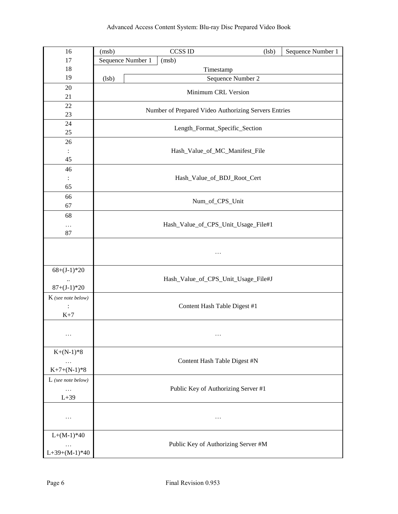## Advanced Access Content System: Blu-ray Disc Prepared Video Book

| 16                   | (msb)                               | CCSS ID                                              | (lsb) | Sequence Number 1 |  |  |  |  |  |  |
|----------------------|-------------------------------------|------------------------------------------------------|-------|-------------------|--|--|--|--|--|--|
| 17                   | Sequence Number 1                   | (msb)                                                |       |                   |  |  |  |  |  |  |
| 18                   |                                     | Timestamp                                            |       |                   |  |  |  |  |  |  |
| 19                   | Sequence Number 2<br>(lsb)          |                                                      |       |                   |  |  |  |  |  |  |
| 20                   |                                     |                                                      |       |                   |  |  |  |  |  |  |
| 21                   | Minimum CRL Version                 |                                                      |       |                   |  |  |  |  |  |  |
| 22                   |                                     | Number of Prepared Video Authorizing Servers Entries |       |                   |  |  |  |  |  |  |
| 23                   |                                     |                                                      |       |                   |  |  |  |  |  |  |
| 24                   |                                     | Length_Format_Specific_Section                       |       |                   |  |  |  |  |  |  |
| 25                   |                                     |                                                      |       |                   |  |  |  |  |  |  |
| 26                   |                                     |                                                      |       |                   |  |  |  |  |  |  |
| $\ddot{\cdot}$       |                                     | Hash_Value_of_MC_Manifest_File                       |       |                   |  |  |  |  |  |  |
| 45                   |                                     |                                                      |       |                   |  |  |  |  |  |  |
| 46                   |                                     |                                                      |       |                   |  |  |  |  |  |  |
| $\ddot{\cdot}$       |                                     | Hash_Value_of_BDJ_Root_Cert                          |       |                   |  |  |  |  |  |  |
| 65                   |                                     |                                                      |       |                   |  |  |  |  |  |  |
| 66                   |                                     | Num_of_CPS_Unit                                      |       |                   |  |  |  |  |  |  |
| 67                   |                                     |                                                      |       |                   |  |  |  |  |  |  |
| 68                   |                                     |                                                      |       |                   |  |  |  |  |  |  |
| .                    | Hash_Value_of_CPS_Unit_Usage_File#1 |                                                      |       |                   |  |  |  |  |  |  |
| 87                   |                                     |                                                      |       |                   |  |  |  |  |  |  |
|                      |                                     |                                                      |       |                   |  |  |  |  |  |  |
|                      |                                     |                                                      |       |                   |  |  |  |  |  |  |
| $68+(J-1)*20$        |                                     |                                                      |       |                   |  |  |  |  |  |  |
| $\ddotsc$            |                                     | Hash_Value_of_CPS_Unit_Usage_File#J                  |       |                   |  |  |  |  |  |  |
| $87+(J-1)*20$        |                                     |                                                      |       |                   |  |  |  |  |  |  |
| K (see note below)   |                                     |                                                      |       |                   |  |  |  |  |  |  |
|                      |                                     | Content Hash Table Digest #1                         |       |                   |  |  |  |  |  |  |
| $K+7$                |                                     |                                                      |       |                   |  |  |  |  |  |  |
|                      |                                     |                                                      |       |                   |  |  |  |  |  |  |
| $\cdots$             |                                     | $\cdots$                                             |       |                   |  |  |  |  |  |  |
|                      |                                     |                                                      |       |                   |  |  |  |  |  |  |
| $K+(N-1)*8$          |                                     |                                                      |       |                   |  |  |  |  |  |  |
| $\cdots$             |                                     | Content Hash Table Digest #N                         |       |                   |  |  |  |  |  |  |
| $K+7+(N-1)*8$        |                                     |                                                      |       |                   |  |  |  |  |  |  |
| $L$ (see note below) |                                     |                                                      |       |                   |  |  |  |  |  |  |
|                      |                                     | Public Key of Authorizing Server #1                  |       |                   |  |  |  |  |  |  |
| $L+39$               |                                     |                                                      |       |                   |  |  |  |  |  |  |
|                      |                                     |                                                      |       |                   |  |  |  |  |  |  |
| .                    |                                     | .                                                    |       |                   |  |  |  |  |  |  |
|                      |                                     |                                                      |       |                   |  |  |  |  |  |  |
| $L+(M-1)*40$         |                                     |                                                      |       |                   |  |  |  |  |  |  |
|                      |                                     | Public Key of Authorizing Server #M                  |       |                   |  |  |  |  |  |  |
| $L+39+(M-1)*40$      |                                     |                                                      |       |                   |  |  |  |  |  |  |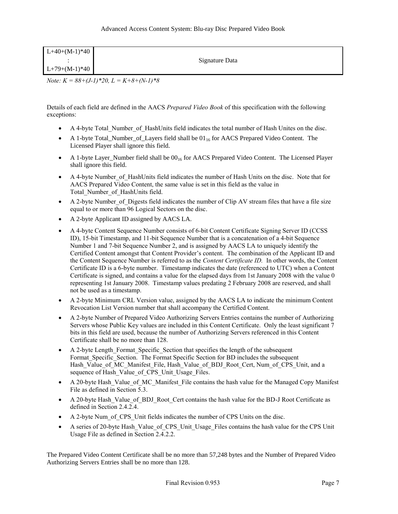| $L+40+(M-1)*40$ |                |
|-----------------|----------------|
|                 | Signature Data |
| $L+79+(M-1)*40$ |                |

*Note: K = 88+(J-1)\*20, L = K+8+(N-1)\*8*

Details of each field are defined in the AACS *Prepared Video Book* of this specification with the following exceptions:

- A 4-byte Total\_Number\_of\_HashUnits field indicates the total number of Hash Unites on the disc.
- A 1-byte Total\_Number\_of\_Layers field shall be  $01_{16}$  for AACS Prepared Video Content. The Licensed Player shall ignore this field.
- A 1-byte Layer\_Number field shall be  $00_{16}$  for AACS Prepared Video Content. The Licensed Player shall ignore this field.
- A 4-byte Number\_of\_HashUnits field indicates the number of Hash Units on the disc. Note that for AACS Prepared Video Content, the same value is set in this field as the value in Total\_Number\_of\_HashUnits field.
- A 2-byte Number\_of\_Digests field indicates the number of Clip AV stream files that have a file size equal to or more than 96 Logical Sectors on the disc.
- A 2-byte Applicant ID assigned by AACS LA.
- A 4-byte Content Sequence Number consists of 6-bit Content Certificate Signing Server ID (CCSS ID), 15-bit Timestamp, and 11-bit Sequence Number that is a concatenation of a 4-bit Sequence Number 1 and 7-bit Sequence Number 2, and is assigned by AACS LA to uniquely identify the Certified Content amongst that Content Provider's content. The combination of the Applicant ID and the Content Sequence Number is referred to as the *Content Certificate ID.* In other words, the Content Certificate ID is a 6-byte number. Timestamp indicates the date (referenced to UTC) when a Content Certificate is signed, and contains a value for the elapsed days from 1st January 2008 with the value 0 representing 1st January 2008. Timestamp values predating 2 February 2008 are reserved, and shall not be used as a timestamp.
- A 2-byte Minimum CRL Version value, assigned by the AACS LA to indicate the minimum Content Revocation List Version number that shall accompany the Certified Content.
- A 2-byte Number of Prepared Video Authorizing Servers Entries contains the number of Authorizing Servers whose Public Key values are included in this Content Certificate. Only the least significant 7 bits in this field are used, because the number of Authorizing Servers referenced in this Content Certificate shall be no more than 128.
- A 2-byte Length Format Specific Section that specifies the length of the subsequent Format Specific Section. The Format Specific Section for BD includes the subsequent Hash Value of MC Manifest File, Hash Value of BDJ Root Cert, Num of CPS Unit, and a sequence of Hash\_Value\_of\_CPS\_Unit\_Usage\_Files.
- A 20-byte Hash\_Value\_of\_MC\_Manifest\_File contains the hash value for the Managed Copy Manifest File as defined in Section [5.3.](#page-47-0)
- A 20-byte Hash Value of BDJ Root Cert contains the hash value for the BD-J Root Certificate as defined in Section [2.4.2.4.](#page-24-0)
- A 2-byte Num\_of\_CPS\_Unit fields indicates the number of CPS Units on the disc.
- A series of 20-byte Hash Value of CPS Unit Usage Files contains the hash value for the CPS Unit Usage File as defined in Sectio[n 2.4.2.2.](#page-24-1)

The Prepared Video Content Certificate shall be no more than 57,248 bytes and the Number of Prepared Video Authorizing Servers Entries shall be no more than 128.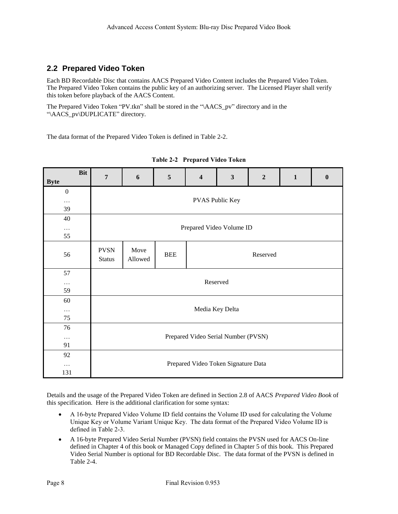## <span id="page-19-1"></span>**2.2 Prepared Video Token**

Each BD Recordable Disc that contains AACS Prepared Video Content includes the Prepared Video Token. The Prepared Video Token contains the public key of an authorizing server. The Licensed Player shall verify this token before playback of the AACS Content.

The Prepared Video Token "PV.tkn" shall be stored in the "\AACS\_pv" directory and in the "\AACS\_pv\DUPLICATE" directory.

The data format of the Prepared Video Token is defined in [Table 2-2.](#page-19-0)

<span id="page-19-0"></span>

| <b>Byte</b>                        | <b>Bit</b> | $\overline{7}$               | 6                                   | $\overline{5}$ | $\overline{\mathbf{4}}$             | $\mathbf{3}$ | $\boldsymbol{2}$ | $\mathbf{1}$ | $\boldsymbol{0}$ |  |  |
|------------------------------------|------------|------------------------------|-------------------------------------|----------------|-------------------------------------|--------------|------------------|--------------|------------------|--|--|
| $\boldsymbol{0}$<br>$\cdots$<br>39 |            |                              | PVAS Public Key                     |                |                                     |              |                  |              |                  |  |  |
| 40<br>$\cdots$<br>55               |            |                              | Prepared Video Volume ID            |                |                                     |              |                  |              |                  |  |  |
| 56                                 |            | <b>PVSN</b><br><b>Status</b> | Move<br>Allowed                     | <b>BEE</b>     | Reserved                            |              |                  |              |                  |  |  |
| 57<br>$\cdots$<br>59               |            |                              | Reserved                            |                |                                     |              |                  |              |                  |  |  |
| 60<br>$\cdots$<br>75               |            |                              | Media Key Delta                     |                |                                     |              |                  |              |                  |  |  |
| 76<br>$\cdots$<br>91               |            |                              | Prepared Video Serial Number (PVSN) |                |                                     |              |                  |              |                  |  |  |
| 92<br>$\cdots$<br>131              |            |                              |                                     |                | Prepared Video Token Signature Data |              |                  |              |                  |  |  |

**Table 2-2 Prepared Video Token**

Details and the usage of the Prepared Video Token are defined in Section 2.8 of AACS *Prepared Video Book* of this specification. Here is the additional clarification for some syntax:

- A 16-byte Prepared Video Volume ID field contains the Volume ID used for calculating the Volume Unique Key or Volume Variant Unique Key. The data format of the Prepared Video Volume ID is defined in [Table 2-3.](#page-20-0)
- A 16-byte Prepared Video Serial Number (PVSN) field contains the PVSN used for AACS On-line defined in Chapter [4](#page-34-0) of this book or Managed Copy defined in Chapter 5 of this book. This Prepared Video Serial Number is optional for BD Recordable Disc. The data format of the PVSN is defined in [Table 2-4.](#page-20-1)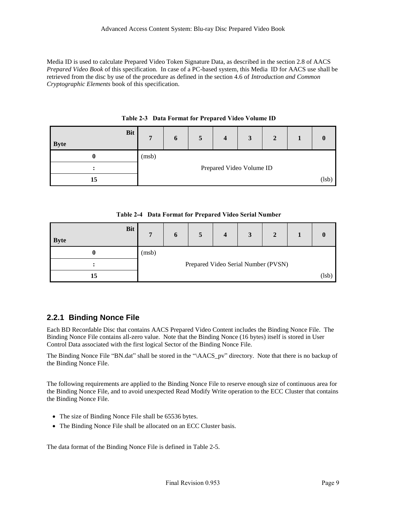Media ID is used to calculate Prepared Video Token Signature Data, as described in the section 2.8 of AACS *Prepared Video Book* of this specification. In case of a PC-based system, this Media ID for AACS use shall be retrieved from the disc by use of the procedure as defined in the section 4.6 of *Introduction and Common Cryptographic Elements* book of this specification.

<span id="page-20-0"></span>

| <b>Bit</b><br><b>Byte</b> | 7     | 6 | 5 | $\overline{\mathbf{4}}$  | 3 | $\overline{2}$ |       |
|---------------------------|-------|---|---|--------------------------|---|----------------|-------|
|                           | (msb) |   |   |                          |   |                |       |
|                           |       |   |   | Prepared Video Volume ID |   |                |       |
| 15                        |       |   |   |                          |   |                | (lsb) |

**Table 2-3 Data Format for Prepared Video Volume ID**

**Table 2-4 Data Format for Prepared Video Serial Number**

<span id="page-20-1"></span>

| <b>Bit</b><br><b>Byte</b> | 7                                   | -6 | 5 | $\overline{\mathbf{4}}$ | 3 | ↑ |  |       |
|---------------------------|-------------------------------------|----|---|-------------------------|---|---|--|-------|
|                           | (msb)                               |    |   |                         |   |   |  |       |
|                           | Prepared Video Serial Number (PVSN) |    |   |                         |   |   |  |       |
| 15                        |                                     |    |   |                         |   |   |  | (1sb) |

#### **2.2.1 Binding Nonce File**

Each BD Recordable Disc that contains AACS Prepared Video Content includes the Binding Nonce File. The Binding Nonce File contains all-zero value. Note that the Binding Nonce (16 bytes) itself is stored in User Control Data associated with the first logical Sector of the Binding Nonce File.

The Binding Nonce File "BN.dat" shall be stored in the "\AACS\_pv" directory. Note that there is no backup of the Binding Nonce File.

The following requirements are applied to the Binding Nonce File to reserve enough size of continuous area for the Binding Nonce File, and to avoid unexpected Read Modify Write operation to the ECC Cluster that contains the Binding Nonce File.

- The size of Binding Nonce File shall be 65536 bytes.
- The Binding Nonce File shall be allocated on an ECC Cluster basis.

The data format of the Binding Nonce File is defined in [Table 2-5.](#page-21-0)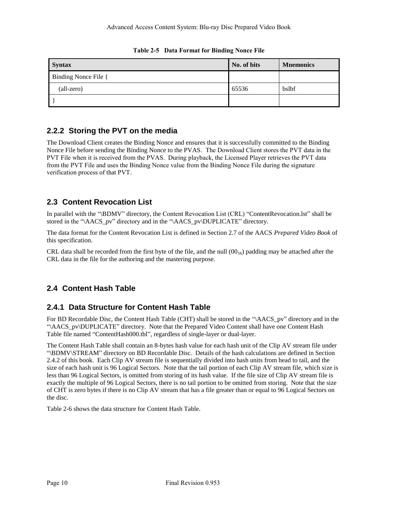<span id="page-21-0"></span>

| <b>Syntax</b>        | No. of bits | <b>Mnemonics</b> |
|----------------------|-------------|------------------|
| Binding Nonce File { |             |                  |
| (all-zero)           | 65536       | bslbf            |
|                      |             |                  |

**Table 2-5 Data Format for Binding Nonce File**

## **2.2.2 Storing the PVT on the media**

The Download Client creates the Binding Nonce and ensures that it is successfully committed to the Binding Nonce File before sending the Binding Nonce to the PVAS. The Download Client stores the PVT data in the PVT File when it is received from the PVAS. During playback, the Licensed Player retrieves the PVT data from the PVT File and uses the Binding Nonce value from the Binding Nonce File during the signature verification process of that PVT.

## **2.3 Content Revocation List**

In parallel with the "\BDMV" directory, the Content Revocation List (CRL) "ContentRevocation.lst" shall be stored in the "\AACS\_pv" directory and in the "\AACS\_pv\DUPLICATE" directory.

The data format for the Content Revocation List is defined in Section 2.7 of the AACS *Prepared Video Book* of this specification.

CRL data shall be recorded from the first byte of the file, and the null  $(00<sub>16</sub>)$  padding may be attached after the CRL data in the file for the authoring and the mastering purpose.

## **2.4 Content Hash Table**

## **2.4.1 Data Structure for Content Hash Table**

For BD Recordable Disc, the Content Hash Table (CHT) shall be stored in the "\AACS\_pv" directory and in the "\AACS\_pv\DUPLICATE" directory. Note that the Prepared Video Content shall have one Content Hash Table file named "ContentHash000.tbl", regardless of single-layer or dual-layer.

The Content Hash Table shall contain an 8-bytes hash value for each hash unit of the Clip AV stream file under "\BDMV\STREAM" directory on BD Recordable Disc. Details of the hash calculations are defined in Section [2.4.2](#page-24-2) of this book. Each Clip AV stream file is sequentially divided into hash units from head to tail, and the size of each hash unit is 96 Logical Sectors. Note that the tail portion of each Clip AV stream file, which size is less than 96 Logical Sectors, is omitted from storing of its hash value. If the file size of Clip AV stream file is exactly the multiple of 96 Logical Sectors, there is no tail portion to be omitted from storing. Note that the size of CHT is zero bytes if there is no Clip AV stream that has a file greater than or equal to 96 Logical Sectors on the disc.

[Table 2-6](#page-22-0) shows the data structure for Content Hash Table.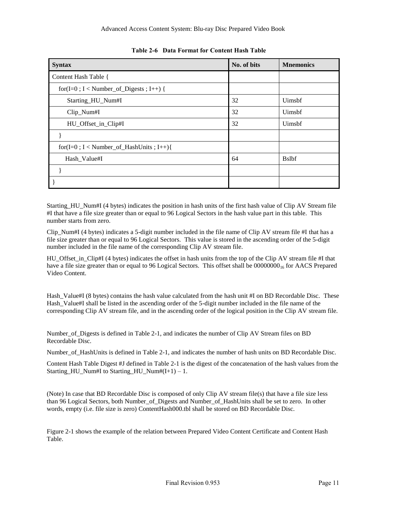<span id="page-22-0"></span>

| <b>Syntax</b>                             | No. of bits | <b>Mnemonics</b> |
|-------------------------------------------|-------------|------------------|
| Content Hash Table {                      |             |                  |
| $for(I=0; I < Number_of_Digests ; I++)$ { |             |                  |
| Starting_HU_Num#I                         | 32          | Uimsbf           |
| Clip_Num#I                                | 32          | Uimsbf           |
| HU_Offset_in_Clip#I                       | 32          | Uimsbf           |
|                                           |             |                  |
| $for(I=0; I < Number_of_Hash Units; I++)$ |             |                  |
| Hash_Value#I                              | 64          | <b>B</b> slbf    |
|                                           |             |                  |
|                                           |             |                  |

**Table 2-6 Data Format for Content Hash Table**

Starting HU\_Num#I (4 bytes) indicates the position in hash units of the first hash value of Clip AV Stream file #I that have a file size greater than or equal to 96 Logical Sectors in the hash value part in this table. This number starts from zero.

Clip\_Num#I (4 bytes) indicates a 5-digit number included in the file name of Clip AV stream file #I that has a file size greater than or equal to 96 Logical Sectors. This value is stored in the ascending order of the 5-digit number included in the file name of the corresponding Clip AV stream file.

HU\_Offset\_in\_Clip#I (4 bytes) indicates the offset in hash units from the top of the Clip AV stream file #I that have a file size greater than or equal to 96 Logical Sectors. This offset shall be 00000000<sub>16</sub> for AACS Prepared Video Content.

Hash\_Value#I (8 bytes) contains the hash value calculated from the hash unit #I on BD Recordable Disc. These Hash\_Value#I shall be listed in the ascending order of the 5-digit number included in the file name of the corresponding Clip AV stream file, and in the ascending order of the logical position in the Clip AV stream file.

Number\_of\_Digests is defined in [Table 2-1,](#page-16-0) and indicates the number of Clip AV Stream files on BD Recordable Disc.

Number\_of\_HashUnits is defined in [Table 2-1,](#page-16-0) and indicates the number of hash units on BD Recordable Disc.

Content Hash Table Digest #J defined in [Table 2-1](#page-16-0) is the digest of the concatenation of the hash values from the Starting\_HU\_Num#I to Starting\_HU\_Num# $(I+1) - 1$ .

(Note) In case that BD Recordable Disc is composed of only Clip AV stream file(s) that have a file size less than 96 Logical Sectors, both Number\_of\_Digests and Number\_of\_HashUnits shall be set to zero. In other words, empty (i.e. file size is zero) ContentHash000.tbl shall be stored on BD Recordable Disc.

[Figure 2-1](#page-23-0) shows the example of the relation between Prepared Video Content Certificate and Content Hash Table.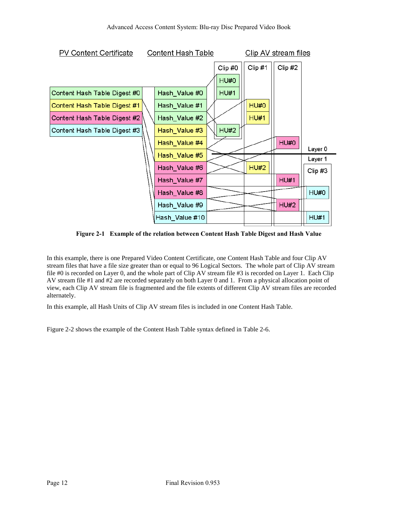

**Figure 2-1 Example of the relation between Content Hash Table Digest and Hash Value**

<span id="page-23-0"></span>In this example, there is one Prepared Video Content Certificate, one Content Hash Table and four Clip AV stream files that have a file size greater than or equal to 96 Logical Sectors. The whole part of Clip AV stream file #0 is recorded on Layer 0, and the whole part of Clip AV stream file #3 is recorded on Layer 1. Each Clip AV stream file #1 and #2 are recorded separately on both Layer 0 and 1. From a physical allocation point of view, each Clip AV stream file is fragmented and the file extents of different Clip AV stream files are recorded alternately.

In this example, all Hash Units of Clip AV stream files is included in one Content Hash Table.

[Figure 2-2](#page-24-3) shows the example of the Content Hash Table syntax defined in [Table 2-6.](#page-22-0)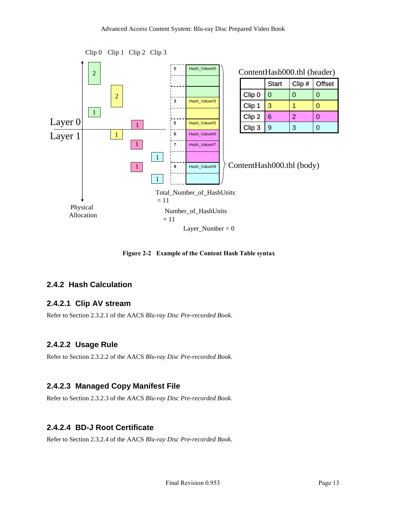

**Figure 2-2 Example of the Content Hash Table syntax**

## <span id="page-24-3"></span><span id="page-24-2"></span>**2.4.2 Hash Calculation**

## **2.4.2.1 Clip AV stream**

Refer to Section 2.3.2.1 of the AACS *Blu-ray Disc Pre-recorded Book*.

## <span id="page-24-1"></span>**2.4.2.2 Usage Rule**

Refer to Section 2.3.2.2 of the AACS *Blu-ray Disc Pre-recorded Book*.

## **2.4.2.3 Managed Copy Manifest File**

Refer to Section 2.3.2.3 of the AACS *Blu-ray Disc Pre-recorded Book*.

## <span id="page-24-0"></span>**2.4.2.4 BD-J Root Certificate**

Refer to Section 2.3.2.4 of the AACS *Blu-ray Disc Pre-recorded Book*.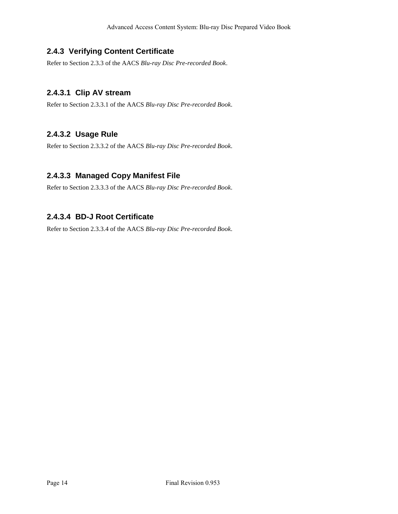## **2.4.3 Verifying Content Certificate**

Refer to Section 2.3.3 of the AACS *Blu-ray Disc Pre-recorded Book*.

## **2.4.3.1 Clip AV stream**

Refer to Section 2.3.3.1 of the AACS *Blu-ray Disc Pre-recorded Book*.

## **2.4.3.2 Usage Rule**

Refer to Section 2.3.3.2 of the AACS *Blu-ray Disc Pre-recorded Book*.

## **2.4.3.3 Managed Copy Manifest File**

Refer to Section 2.3.3.3 of the AACS *Blu-ray Disc Pre-recorded Book*.

## **2.4.3.4 BD-J Root Certificate**

Refer to Section 2.3.3.4 of the AACS *Blu-ray Disc Pre-recorded Book*.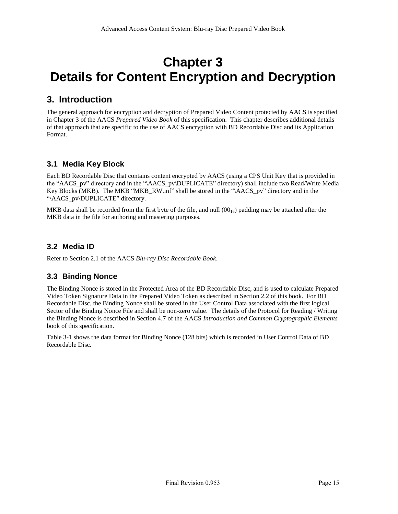# **Chapter 3 Details for Content Encryption and Decryption**

## **3. Introduction**

The general approach for encryption and decryption of Prepared Video Content protected by AACS is specified in Chapter 3 of the AACS *Prepared Video Book* of this specification. This chapter describes additional details of that approach that are specific to the use of AACS encryption with BD Recordable Disc and its Application Format.

## **3.1 Media Key Block**

Each BD Recordable Disc that contains content encrypted by AACS (using a CPS Unit Key that is provided in the "AACS\_pv" directory and in the "\AACS\_pv\DUPLICATE" directory) shall include two Read/Write Media Key Blocks (MKB). The MKB "MKB\_RW.inf" shall be stored in the "\AACS\_pv" directory and in the "\AACS\_pv\DUPLICATE" directory.

MKB data shall be recorded from the first byte of the file, and null  $(00<sub>16</sub>)$  padding may be attached after the MKB data in the file for authoring and mastering purposes.

### **3.2 Media ID**

Refer to Section 2.1 of the AACS *Blu-ray Disc Recordable Book*.

## **3.3 Binding Nonce**

The Binding Nonce is stored in the Protected Area of the BD Recordable Disc, and is used to calculate Prepared Video Token Signature Data in the Prepared Video Token as described in Sectio[n 2.2](#page-19-1) of this book. For BD Recordable Disc, the Binding Nonce shall be stored in the User Control Data associated with the first logical Sector of the Binding Nonce File and shall be non-zero value. The details of the Protocol for Reading / Writing the Binding Nonce is described in Section 4.7 of the AACS *Introduction and Common Cryptographic Elements* book of this specification.

[Table 3-1](#page-27-0) shows the data format for Binding Nonce (128 bits) which is recorded in User Control Data of BD Recordable Disc.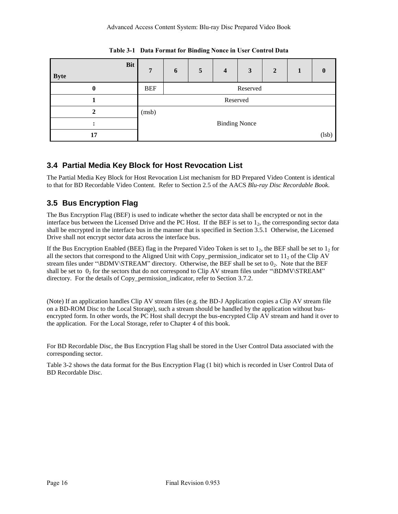<span id="page-27-0"></span>

| <b>Bit</b><br><b>Byte</b> | 7          | 6                    | 5 | $\overline{\mathbf{4}}$ | 3 | $\overline{2}$ |  | $\mathbf 0$ |  |  |
|---------------------------|------------|----------------------|---|-------------------------|---|----------------|--|-------------|--|--|
| 0                         | <b>BEF</b> | Reserved             |   |                         |   |                |  |             |  |  |
|                           |            | Reserved             |   |                         |   |                |  |             |  |  |
|                           | (msb)      |                      |   |                         |   |                |  |             |  |  |
|                           |            | <b>Binding Nonce</b> |   |                         |   |                |  |             |  |  |
| 17                        |            |                      |   |                         |   |                |  | (lsb)       |  |  |

**Table 3-1 Data Format for Binding Nonce in User Control Data**

## **3.4 Partial Media Key Block for Host Revocation List**

The Partial Media Key Block for Host Revocation List mechanism for BD Prepared Video Content is identical to that for BD Recordable Video Content. Refer to Section 2.5 of the AACS *Blu-ray Disc Recordable Book*.

## **3.5 Bus Encryption Flag**

The Bus Encryption Flag (BEF) is used to indicate whether the sector data shall be encrypted or not in the interface bus between the Licensed Drive and the PC Host. If the BEF is set to  $1<sub>2</sub>$ , the corresponding sector data shall be encrypted in the interface bus in the manner that is specified in Sectio[n 3.5.1](#page-28-0) Otherwise, the Licensed Drive shall not encrypt sector data across the interface bus.

If the Bus Encryption Enabled (BEE) flag in the Prepared Video Token is set to  $1<sub>2</sub>$ , the BEF shall be set to  $1<sub>2</sub>$  for all the sectors that correspond to the Aligned Unit with Copy\_permission\_indicator set to  $11<sub>2</sub>$  of the Clip AV stream files under "\BDMV\STREAM" directory. Otherwise, the BEF shall be set to  $0<sub>2</sub>$ . Note that the BEF shall be set to  $0<sub>2</sub>$  for the sectors that do not correspond to Clip AV stream files under "\BDMV\STREAM" directory. For the details of Copy\_permission\_indicator, refer to Section [3.7.2.](#page-33-0)

(Note) If an application handles Clip AV stream files (e.g. the BD-J Application copies a Clip AV stream file on a BD-ROM Disc to the Local Storage), such a stream should be handled by the application without busencrypted form. In other words, the PC Host shall decrypt the bus-encrypted Clip AV stream and hand it over to the application. For the Local Storage, refer to Chapter [4](#page-34-0) of this book.

For BD Recordable Disc, the Bus Encryption Flag shall be stored in the User Control Data associated with the corresponding sector.

[Table 3-2](#page-28-1) shows the data format for the Bus Encryption Flag (1 bit) which is recorded in User Control Data of BD Recordable Disc.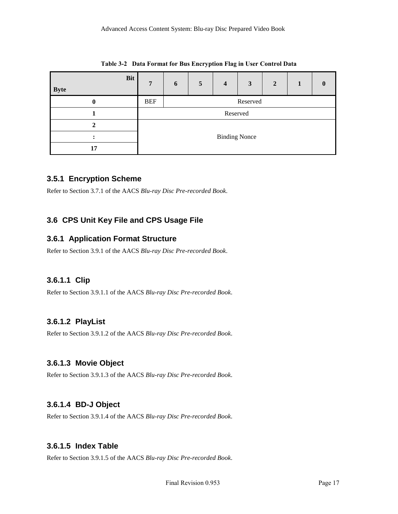<span id="page-28-1"></span>

| <b>Byte</b> | <b>Bit</b> | 7                      | 6 | 5 | $\overline{\mathbf{4}}$ | 3 | $\overline{2}$ |  |  |
|-------------|------------|------------------------|---|---|-------------------------|---|----------------|--|--|
| 0           |            | Reserved<br><b>BEF</b> |   |   |                         |   |                |  |  |
|             |            | Reserved               |   |   |                         |   |                |  |  |
|             |            |                        |   |   |                         |   |                |  |  |
|             |            | <b>Binding Nonce</b>   |   |   |                         |   |                |  |  |
| 17          |            |                        |   |   |                         |   |                |  |  |

**Table 3-2 Data Format for Bus Encryption Flag in User Control Data**

## <span id="page-28-0"></span>**3.5.1 Encryption Scheme**

Refer to Section 3.7.1 of the AACS *Blu-ray Disc Pre-recorded Book*.

## **3.6 CPS Unit Key File and CPS Usage File**

## **3.6.1 Application Format Structure**

Refer to Section 3.9.1 of the AACS *Blu-ray Disc Pre-recorded Book*.

## **3.6.1.1 Clip**

Refer to Section 3.9.1.1 of the AACS *Blu-ray Disc Pre-recorded Book*.

## **3.6.1.2 PlayList**

Refer to Section 3.9.1.2 of the AACS *Blu-ray Disc Pre-recorded Book*.

## **3.6.1.3 Movie Object**

Refer to Section 3.9.1.3 of the AACS *Blu-ray Disc Pre-recorded Book*.

## **3.6.1.4 BD-J Object**

Refer to Section 3.9.1.4 of the AACS *Blu-ray Disc Pre-recorded Book*.

## **3.6.1.5 Index Table**

Refer to Section 3.9.1.5 of the AACS *Blu-ray Disc Pre-recorded Book*.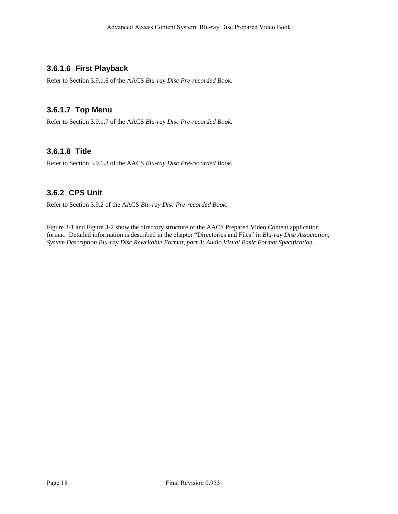## **3.6.1.6 First Playback**

Refer to Section 3.9.1.6 of the AACS *Blu-ray Disc Pre-recorded Book*.

## **3.6.1.7 Top Menu**

Refer to Section 3.9.1.7 of the AACS *Blu-ray Disc Pre-recorded Book*.

## **3.6.1.8 Title**

Refer to Section 3.9.1.8 of the AACS *Blu-ray Disc Pre-recorded Book*.

## **3.6.2 CPS Unit**

Refer to Section 3.9.2 of the AACS *Blu-ray Disc Pre-recorded Book*.

[Figure 3-1](#page-31-0) and [Figure 3-2](#page-31-1) show the directory structure of the AACS Prepared Video Content application format. Detailed information is described in the chapter "Directories and Files" in *Blu-ray Disc Association, System Description Blu-ray Disc Rewritable Format, part 3: Audio Visual Basic Format Specification*.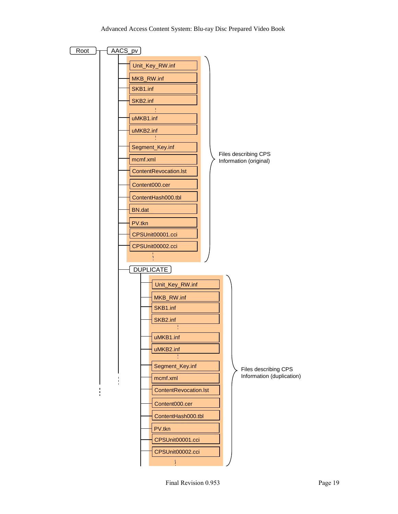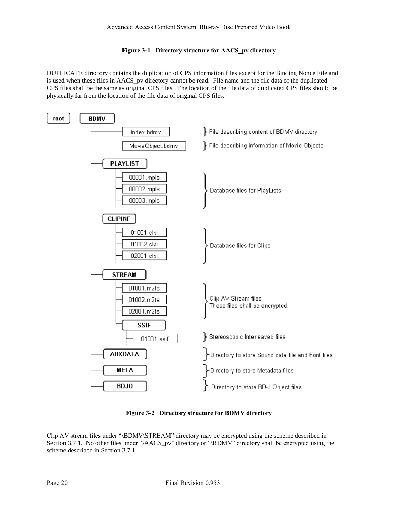#### **Figure 3-1 Directory structure for AACS\_pv directory**

<span id="page-31-0"></span>DUPLICATE directory contains the duplication of CPS information files except for the Binding Nonce File and is used when these files in AACS\_pv directory cannot be read. File name and the file data of the duplicated CPS files shall be the same as original CPS files. The location of the file data of duplicated CPS files should be physically far from the location of the file data of original CPS files.



**Figure 3-2 Directory structure for BDMV directory**

<span id="page-31-1"></span>Clip AV stream files under "\BDMV\STREAM" directory may be encrypted using the scheme described in Section [3.7.1.](#page-32-0) No other files under "\AACS\_pv" directory or "\BDMV" directory shall be encrypted using the scheme described in Section [3.7.1.](#page-32-0)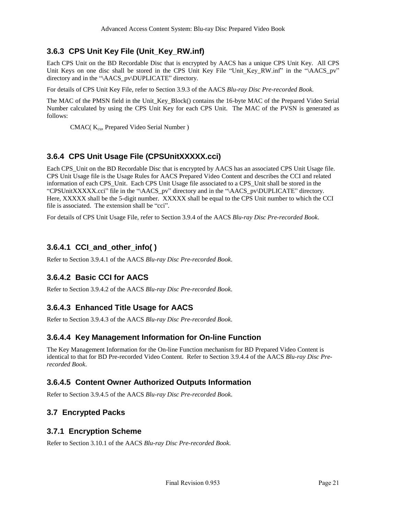### **3.6.3 CPS Unit Key File (Unit\_Key\_RW.inf)**

Each CPS Unit on the BD Recordable Disc that is encrypted by AACS has a unique CPS Unit Key. All CPS Unit Keys on one disc shall be stored in the CPS Unit Key File "Unit Key\_RW.inf" in the "\AACS\_pv" directory and in the "\AACS\_pv\DUPLICATE" directory.

For details of CPS Unit Key File, refer to Section 3.9.3 of the AACS *Blu-ray Disc Pre-recorded Book*.

The MAC of the PMSN field in the Unit\_Key\_Block() contains the 16-byte MAC of the Prepared Video Serial Number calculated by using the CPS Unit Key for each CPS Unit. The MAC of the PVSN is generated as follows:

CMAC( K<sub>cu</sub>, Prepared Video Serial Number )

## **3.6.4 CPS Unit Usage File (CPSUnitXXXXX.cci)**

Each CPS\_Unit on the BD Recordable Disc that is encrypted by AACS has an associated CPS Unit Usage file. CPS Unit Usage file is the Usage Rules for AACS Prepared Video Content and describes the CCI and related information of each CPS\_Unit. Each CPS Unit Usage file associated to a CPS\_Unit shall be stored in the "CPSUnitXXXXX.cci" file in the "\AACS\_pv" directory and in the "\AACS\_pv\DUPLICATE" directory. Here, XXXXX shall be the 5-digit number. XXXXX shall be equal to the CPS Unit number to which the CCI file is associated. The extension shall be "cci".

For details of CPS Unit Usage File, refer to Section 3.9.4 of the AACS *Blu-ray Disc Pre-recorded Book*.

### **3.6.4.1 CCI\_and\_other\_info( )**

Refer to Section 3.9.4.1 of the AACS *Blu-ray Disc Pre-recorded Book*.

## **3.6.4.2 Basic CCI for AACS**

Refer to Section 3.9.4.2 of the AACS *Blu-ray Disc Pre-recorded Book*.

## **3.6.4.3 Enhanced Title Usage for AACS**

Refer to Section 3.9.4.3 of the AACS *Blu-ray Disc Pre-recorded Book*.

#### **3.6.4.4 Key Management Information for On-line Function**

The Key Management Information for the On-line Function mechanism for BD Prepared Video Content is identical to that for BD Pre-recorded Video Content. Refer to Section 3.9.4.4 of the AACS *Blu-ray Disc Prerecorded Book*.

#### **3.6.4.5 Content Owner Authorized Outputs Information**

Refer to Section 3.9.4.5 of the AACS *Blu-ray Disc Pre-recorded Book*.

## **3.7 Encrypted Packs**

#### <span id="page-32-0"></span>**3.7.1 Encryption Scheme**

Refer to Section 3.10.1 of the AACS *Blu-ray Disc Pre-recorded Book*.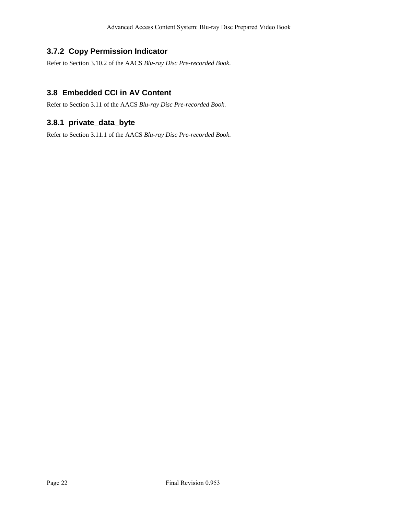## <span id="page-33-0"></span>**3.7.2 Copy Permission Indicator**

Refer to Section 3.10.2 of the AACS *Blu-ray Disc Pre-recorded Book*.

## **3.8 Embedded CCI in AV Content**

Refer to Section 3.11 of the AACS *Blu-ray Disc Pre-recorded Book*.

## **3.8.1 private\_data\_byte**

Refer to Section 3.11.1 of the AACS *Blu-ray Disc Pre-recorded Book*.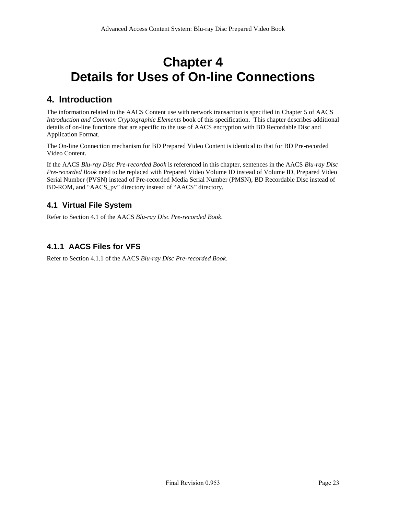# **Chapter 4 Details for Uses of On-line Connections**

## <span id="page-34-0"></span>**4. Introduction**

The information related to the AACS Content use with network transaction is specified in Chapter 5 of AACS *Introduction and Common Cryptographic Elements* book of this specification. This chapter describes additional details of on-line functions that are specific to the use of AACS encryption with BD Recordable Disc and Application Format.

The On-line Connection mechanism for BD Prepared Video Content is identical to that for BD Pre-recorded Video Content.

If the AACS *Blu-ray Disc Pre-recorded Book* is referenced in this chapter, sentences in the AACS *Blu-ray Disc Pre-recorded Book* need to be replaced with Prepared Video Volume ID instead of Volume ID, Prepared Video Serial Number (PVSN) instead of Pre-recorded Media Serial Number (PMSN), BD Recordable Disc instead of BD-ROM, and "AACS\_pv" directory instead of "AACS" directory.

## **4.1 Virtual File System**

Refer to Section 4.1 of the AACS *Blu-ray Disc Pre-recorded Book*.

## **4.1.1 AACS Files for VFS**

Refer to Section 4.1.1 of the AACS *Blu-ray Disc Pre-recorded Book*.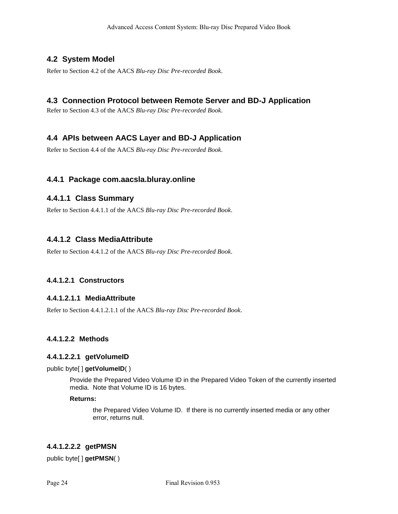## **4.2 System Model**

Refer to Section 4.2 of the AACS *Blu-ray Disc Pre-recorded Book*.

### **4.3 Connection Protocol between Remote Server and BD-J Application**

Refer to Section 4.3 of the AACS *Blu-ray Disc Pre-recorded Book*.

## **4.4 APIs between AACS Layer and BD-J Application**

Refer to Section 4.4 of the AACS *Blu-ray Disc Pre-recorded Book*.

### **4.4.1 Package com.aacsla.bluray.online**

#### **4.4.1.1 Class Summary**

Refer to Section 4.4.1.1 of the AACS *Blu-ray Disc Pre-recorded Book*.

### **4.4.1.2 Class MediaAttribute**

Refer to Section 4.4.1.2 of the AACS *Blu-ray Disc Pre-recorded Book*.

#### **4.4.1.2.1 Constructors**

#### **4.4.1.2.1.1 MediaAttribute**

Refer to Section 4.4.1.2.1.1 of the AACS *Blu-ray Disc Pre-recorded Book*.

#### **4.4.1.2.2 Methods**

#### **4.4.1.2.2.1 getVolumeID**

#### public byte[ ] **getVolumeID**( )

Provide the Prepared Video Volume ID in the Prepared Video Token of the currently inserted media. Note that Volume ID is 16 bytes.

#### **Returns:**

the Prepared Video Volume ID. If there is no currently inserted media or any other error, returns null.

#### **4.4.1.2.2.2 getPMSN**

public byte[ ] **getPMSN**( )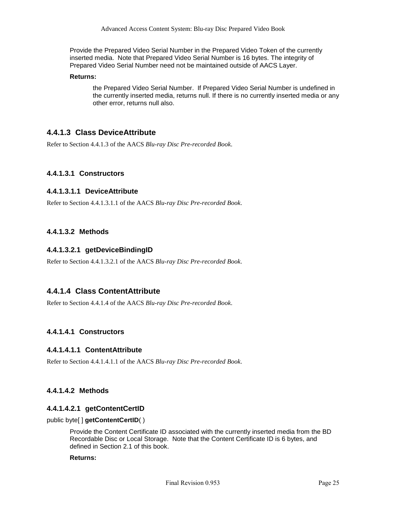Provide the Prepared Video Serial Number in the Prepared Video Token of the currently inserted media. Note that Prepared Video Serial Number is 16 bytes. The integrity of Prepared Video Serial Number need not be maintained outside of AACS Layer.

#### **Returns:**

the Prepared Video Serial Number. If Prepared Video Serial Number is undefined in the currently inserted media, returns null. If there is no currently inserted media or any other error, returns null also.

#### **4.4.1.3 Class DeviceAttribute**

Refer to Section 4.4.1.3 of the AACS *Blu-ray Disc Pre-recorded Book*.

#### **4.4.1.3.1 Constructors**

#### **4.4.1.3.1.1 DeviceAttribute**

Refer to Section 4.4.1.3.1.1 of the AACS *Blu-ray Disc Pre-recorded Book*.

#### **4.4.1.3.2 Methods**

#### **4.4.1.3.2.1 getDeviceBindingID**

Refer to Section 4.4.1.3.2.1 of the AACS *Blu-ray Disc Pre-recorded Book*.

#### **4.4.1.4 Class ContentAttribute**

Refer to Section 4.4.1.4 of the AACS *Blu-ray Disc Pre-recorded Book*.

#### **4.4.1.4.1 Constructors**

#### **4.4.1.4.1.1 ContentAttribute**

Refer to Section 4.4.1.4.1.1 of the AACS *Blu-ray Disc Pre-recorded Book*.

#### **4.4.1.4.2 Methods**

#### **4.4.1.4.2.1 getContentCertID**

#### public byte[ ] **getContentCertID**( )

Provide the Content Certificate ID associated with the currently inserted media from the BD Recordable Disc or Local Storage. Note that the Content Certificate ID is 6 bytes, and defined in Section [2.1](#page-16-1) of this book.

#### **Returns:**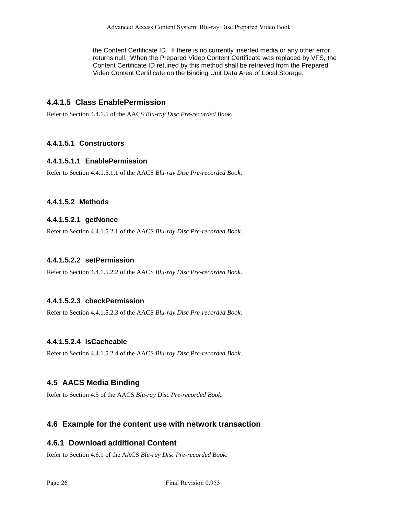the Content Certificate ID. If there is no currently inserted media or any other error, returns null. When the Prepared Video Content Certificate was replaced by VFS, the Content Certificate ID retuned by this method shall be retrieved from the Prepared Video Content Certificate on the Binding Unit Data Area of Local Storage.

## **4.4.1.5 Class EnablePermission**

Refer to Section 4.4.1.5 of the AACS *Blu-ray Disc Pre-recorded Book*.

### **4.4.1.5.1 Constructors**

#### **4.4.1.5.1.1 EnablePermission**

Refer to Section 4.4.1.5.1.1 of the AACS *Blu-ray Disc Pre-recorded Book*.

#### **4.4.1.5.2 Methods**

#### **4.4.1.5.2.1 getNonce**

Refer to Section 4.4.1.5.2.1 of the AACS *Blu-ray Disc Pre-recorded Book*.

#### **4.4.1.5.2.2 setPermission**

Refer to Section 4.4.1.5.2.2 of the AACS *Blu-ray Disc Pre-recorded Book*.

#### **4.4.1.5.2.3 checkPermission**

Refer to Section 4.4.1.5.2.3 of the AACS *Blu-ray Disc Pre-recorded Book*.

#### **4.4.1.5.2.4 isCacheable**

Refer to Section 4.4.1.5.2.4 of the AACS *Blu-ray Disc Pre-recorded Book*.

## **4.5 AACS Media Binding**

Refer to Section 4.5 of the AACS *Blu-ray Disc Pre-recorded Book*.

## **4.6 Example for the content use with network transaction**

## **4.6.1 Download additional Content**

Refer to Section 4.6.1 of the AACS *Blu-ray Disc Pre-recorded Book*.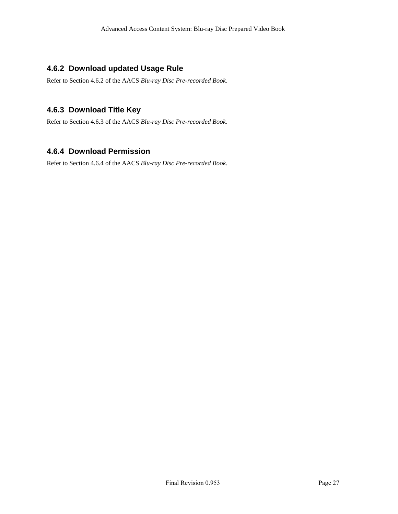## **4.6.2 Download updated Usage Rule**

Refer to Section 4.6.2 of the AACS *Blu-ray Disc Pre-recorded Book*.

## **4.6.3 Download Title Key**

Refer to Section 4.6.3 of the AACS *Blu-ray Disc Pre-recorded Book*.

## **4.6.4 Download Permission**

Refer to Section 4.6.4 of the AACS *Blu-ray Disc Pre-recorded Book*.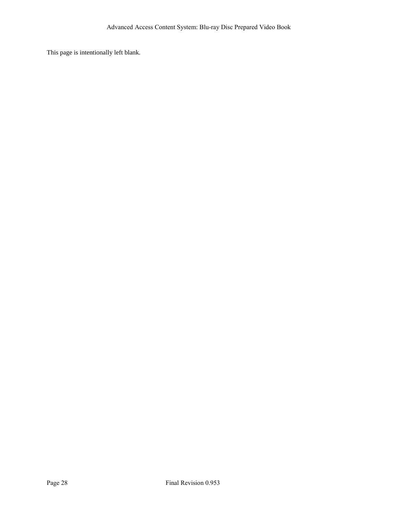This page is intentionally left blank.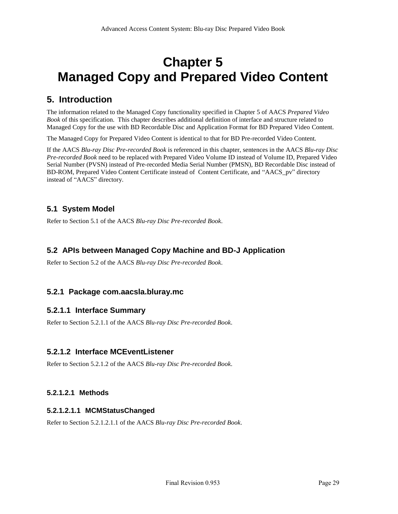# **Chapter 5 Managed Copy and Prepared Video Content**

## <span id="page-40-0"></span>**5. Introduction**

The information related to the Managed Copy functionality specified in Chapter 5 of AACS *Prepared Video Book* of this specification. This chapter describes additional definition of interface and structure related to Managed Copy for the use with BD Recordable Disc and Application Format for BD Prepared Video Content.

The Managed Copy for Prepared Video Content is identical to that for BD Pre-recorded Video Content.

If the AACS *Blu-ray Disc Pre-recorded Book* is referenced in this chapter, sentences in the AACS *Blu-ray Disc Pre-recorded Book* need to be replaced with Prepared Video Volume ID instead of Volume ID, Prepared Video Serial Number (PVSN) instead of Pre-recorded Media Serial Number (PMSN), BD Recordable Disc instead of BD-ROM, Prepared Video Content Certificate instead of Content Certificate, and "AACS\_pv" directory instead of "AACS" directory.

## **5.1 System Model**

Refer to Section 5.1 of the AACS *Blu-ray Disc Pre-recorded Book*.

## **5.2 APIs between Managed Copy Machine and BD-J Application**

Refer to Section 5.2 of the AACS *Blu-ray Disc Pre-recorded Book*.

## **5.2.1 Package com.aacsla.bluray.mc**

#### **5.2.1.1 Interface Summary**

Refer to Section 5.2.1.1 of the AACS *Blu-ray Disc Pre-recorded Book*.

#### **5.2.1.2 Interface MCEventListener**

Refer to Section 5.2.1.2 of the AACS *Blu-ray Disc Pre-recorded Book*.

#### **5.2.1.2.1 Methods**

#### **5.2.1.2.1.1 MCMStatusChanged**

Refer to Section 5.2.1.2.1.1 of the AACS *Blu-ray Disc Pre-recorded Book*.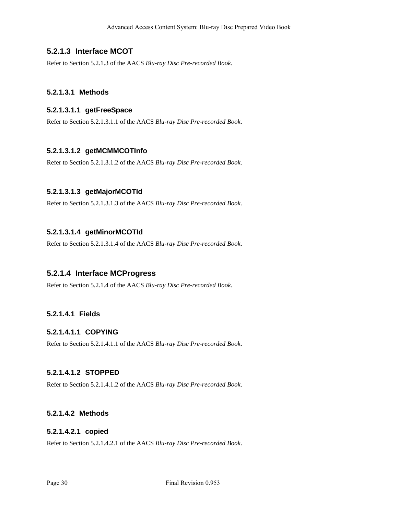## **5.2.1.3 Interface MCOT**

Refer to Section 5.2.1.3 of the AACS *Blu-ray Disc Pre-recorded Book*.

### **5.2.1.3.1 Methods**

#### **5.2.1.3.1.1 getFreeSpace**

Refer to Section 5.2.1.3.1.1 of the AACS *Blu-ray Disc Pre-recorded Book*.

#### **5.2.1.3.1.2 getMCMMCOTInfo**

Refer to Section 5.2.1.3.1.2 of the AACS *Blu-ray Disc Pre-recorded Book*.

#### **5.2.1.3.1.3 getMajorMCOTId**

Refer to Section 5.2.1.3.1.3 of the AACS *Blu-ray Disc Pre-recorded Book*.

#### **5.2.1.3.1.4 getMinorMCOTId**

Refer to Section 5.2.1.3.1.4 of the AACS *Blu-ray Disc Pre-recorded Book*.

#### **5.2.1.4 Interface MCProgress**

Refer to Section 5.2.1.4 of the AACS *Blu-ray Disc Pre-recorded Book*.

#### **5.2.1.4.1 Fields**

#### **5.2.1.4.1.1 COPYING**

Refer to Section 5.2.1.4.1.1 of the AACS *Blu-ray Disc Pre-recorded Book*.

#### **5.2.1.4.1.2 STOPPED**

Refer to Section 5.2.1.4.1.2 of the AACS *Blu-ray Disc Pre-recorded Book*.

#### **5.2.1.4.2 Methods**

#### **5.2.1.4.2.1 copied**

Refer to Section 5.2.1.4.2.1 of the AACS *Blu-ray Disc Pre-recorded Book*.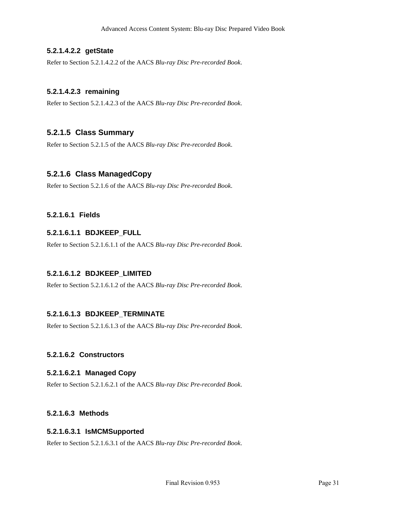#### **5.2.1.4.2.2 getState**

Refer to Section 5.2.1.4.2.2 of the AACS *Blu-ray Disc Pre-recorded Book*.

#### **5.2.1.4.2.3 remaining**

Refer to Section 5.2.1.4.2.3 of the AACS *Blu-ray Disc Pre-recorded Book*.

### **5.2.1.5 Class Summary**

Refer to Section 5.2.1.5 of the AACS *Blu-ray Disc Pre-recorded Book*.

### **5.2.1.6 Class ManagedCopy**

Refer to Section 5.2.1.6 of the AACS *Blu-ray Disc Pre-recorded Book*.

#### **5.2.1.6.1 Fields**

#### **5.2.1.6.1.1 BDJKEEP\_FULL**

Refer to Section 5.2.1.6.1.1 of the AACS *Blu-ray Disc Pre-recorded Book*.

#### **5.2.1.6.1.2 BDJKEEP\_LIMITED**

Refer to Section 5.2.1.6.1.2 of the AACS *Blu-ray Disc Pre-recorded Book*.

#### **5.2.1.6.1.3 BDJKEEP\_TERMINATE**

Refer to Section 5.2.1.6.1.3 of the AACS *Blu-ray Disc Pre-recorded Book*.

#### **5.2.1.6.2 Constructors**

#### **5.2.1.6.2.1 Managed Copy**

Refer to Section 5.2.1.6.2.1 of the AACS *Blu-ray Disc Pre-recorded Book*.

#### **5.2.1.6.3 Methods**

#### **5.2.1.6.3.1 IsMCMSupported**

Refer to Section 5.2.1.6.3.1 of the AACS *Blu-ray Disc Pre-recorded Book*.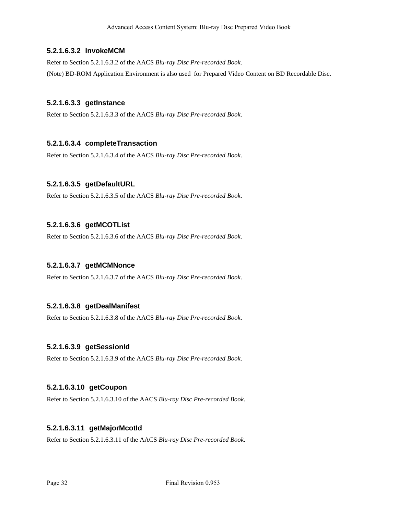#### **5.2.1.6.3.2 InvokeMCM**

Refer to Section 5.2.1.6.3.2 of the AACS *Blu-ray Disc Pre-recorded Book*. (Note) BD-ROM Application Environment is also used for Prepared Video Content on BD Recordable Disc.

#### **5.2.1.6.3.3 getInstance**

Refer to Section 5.2.1.6.3.3 of the AACS *Blu-ray Disc Pre-recorded Book*.

#### **5.2.1.6.3.4 completeTransaction**

Refer to Section 5.2.1.6.3.4 of the AACS *Blu-ray Disc Pre-recorded Book*.

#### **5.2.1.6.3.5 getDefaultURL**

Refer to Section 5.2.1.6.3.5 of the AACS *Blu-ray Disc Pre-recorded Book*.

#### **5.2.1.6.3.6 getMCOTList**

Refer to Section 5.2.1.6.3.6 of the AACS *Blu-ray Disc Pre-recorded Book*.

#### **5.2.1.6.3.7 getMCMNonce**

Refer to Section 5.2.1.6.3.7 of the AACS *Blu-ray Disc Pre-recorded Book*.

#### **5.2.1.6.3.8 getDealManifest**

Refer to Section 5.2.1.6.3.8 of the AACS *Blu-ray Disc Pre-recorded Book*.

#### **5.2.1.6.3.9 getSessionId**

Refer to Section 5.2.1.6.3.9 of the AACS *Blu-ray Disc Pre-recorded Book*.

#### **5.2.1.6.3.10 getCoupon**

Refer to Section 5.2.1.6.3.10 of the AACS *Blu-ray Disc Pre-recorded Book*.

#### **5.2.1.6.3.11 getMajorMcotId**

Refer to Section 5.2.1.6.3.11 of the AACS *Blu-ray Disc Pre-recorded Book*.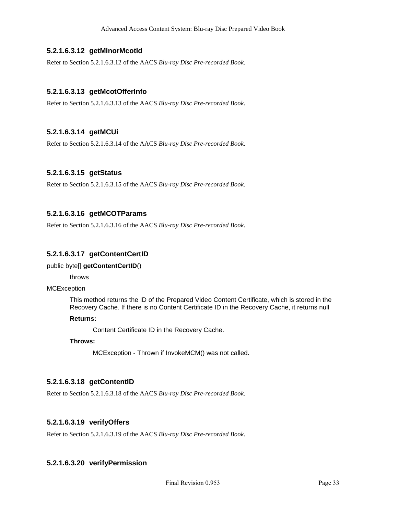#### **5.2.1.6.3.12 getMinorMcotId**

Refer to Section 5.2.1.6.3.12 of the AACS *Blu-ray Disc Pre-recorded Book*.

#### **5.2.1.6.3.13 getMcotOfferInfo**

Refer to Section 5.2.1.6.3.13 of the AACS *Blu-ray Disc Pre-recorded Book*.

#### **5.2.1.6.3.14 getMCUi**

Refer to Section 5.2.1.6.3.14 of the AACS *Blu-ray Disc Pre-recorded Book*.

#### **5.2.1.6.3.15 getStatus**

Refer to Section 5.2.1.6.3.15 of the AACS *Blu-ray Disc Pre-recorded Book*.

#### **5.2.1.6.3.16 getMCOTParams**

Refer to Section 5.2.1.6.3.16 of the AACS *Blu-ray Disc Pre-recorded Book*.

#### **5.2.1.6.3.17 getContentCertID**

#### public byte[] **getContentCertID**()

throws

#### **MCException**

This method returns the ID of the Prepared Video Content Certificate, which is stored in the Recovery Cache. If there is no Content Certificate ID in the Recovery Cache, it returns null

#### **Returns:**

Content Certificate ID in the Recovery Cache.

#### **Throws:**

MCException - Thrown if InvokeMCM() was not called.

#### **5.2.1.6.3.18 getContentID**

Refer to Section 5.2.1.6.3.18 of the AACS *Blu-ray Disc Pre-recorded Book*.

#### **5.2.1.6.3.19 verifyOffers**

Refer to Section 5.2.1.6.3.19 of the AACS *Blu-ray Disc Pre-recorded Book*.

#### **5.2.1.6.3.20 verifyPermission**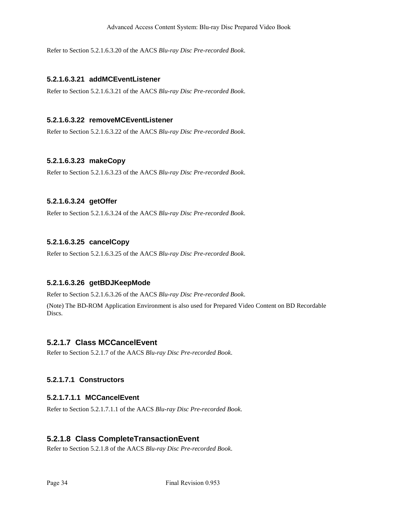Refer to Section 5.2.1.6.3.20 of the AACS *Blu-ray Disc Pre-recorded Book*.

#### **5.2.1.6.3.21 addMCEventListener**

Refer to Section 5.2.1.6.3.21 of the AACS *Blu-ray Disc Pre-recorded Book*.

#### **5.2.1.6.3.22 removeMCEventListener**

Refer to Section 5.2.1.6.3.22 of the AACS *Blu-ray Disc Pre-recorded Book*.

#### **5.2.1.6.3.23 makeCopy**

Refer to Section 5.2.1.6.3.23 of the AACS *Blu-ray Disc Pre-recorded Book*.

#### **5.2.1.6.3.24 getOffer**

Refer to Section 5.2.1.6.3.24 of the AACS *Blu-ray Disc Pre-recorded Book*.

#### **5.2.1.6.3.25 cancelCopy**

Refer to Section 5.2.1.6.3.25 of the AACS *Blu-ray Disc Pre-recorded Book*.

#### **5.2.1.6.3.26 getBDJKeepMode**

Refer to Section 5.2.1.6.3.26 of the AACS *Blu-ray Disc Pre-recorded Book*.

(Note) The BD-ROM Application Environment is also used for Prepared Video Content on BD Recordable Discs.

#### **5.2.1.7 Class MCCancelEvent**

Refer to Section 5.2.1.7 of the AACS *Blu-ray Disc Pre-recorded Book*.

#### **5.2.1.7.1 Constructors**

#### **5.2.1.7.1.1 MCCancelEvent**

Refer to Section 5.2.1.7.1.1 of the AACS *Blu-ray Disc Pre-recorded Book*.

#### **5.2.1.8 Class CompleteTransactionEvent**

Refer to Section 5.2.1.8 of the AACS *Blu-ray Disc Pre-recorded Book*.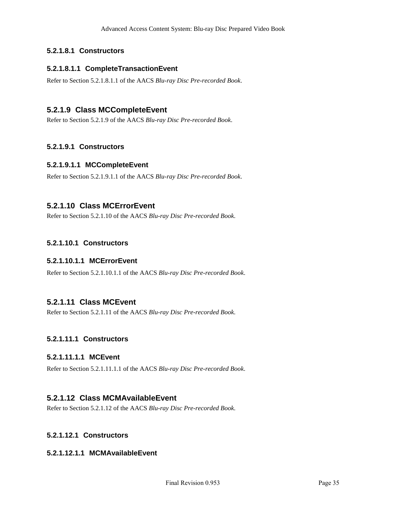#### **5.2.1.8.1 Constructors**

#### **5.2.1.8.1.1 CompleteTransactionEvent**

Refer to Section 5.2.1.8.1.1 of the AACS *Blu-ray Disc Pre-recorded Book*.

### **5.2.1.9 Class MCCompleteEvent**

Refer to Section 5.2.1.9 of the AACS *Blu-ray Disc Pre-recorded Book*.

### **5.2.1.9.1 Constructors**

#### **5.2.1.9.1.1 MCCompleteEvent**

Refer to Section 5.2.1.9.1.1 of the AACS *Blu-ray Disc Pre-recorded Book*.

### **5.2.1.10 Class MCErrorEvent**

Refer to Section 5.2.1.10 of the AACS *Blu-ray Disc Pre-recorded Book*.

#### **5.2.1.10.1 Constructors**

#### **5.2.1.10.1.1 MCErrorEvent**

Refer to Section 5.2.1.10.1.1 of the AACS *Blu-ray Disc Pre-recorded Book*.

#### **5.2.1.11 Class MCEvent**

Refer to Section 5.2.1.11 of the AACS *Blu-ray Disc Pre-recorded Book*.

#### **5.2.1.11.1 Constructors**

#### **5.2.1.11.1.1 MCEvent**

Refer to Section 5.2.1.11.1.1 of the AACS *Blu-ray Disc Pre-recorded Book*.

#### **5.2.1.12 Class MCMAvailableEvent**

Refer to Section 5.2.1.12 of the AACS *Blu-ray Disc Pre-recorded Book*.

#### **5.2.1.12.1 Constructors**

#### **5.2.1.12.1.1 MCMAvailableEvent**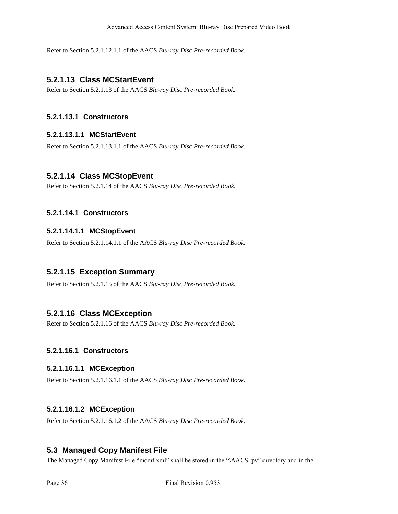Refer to Section 5.2.1.12.1.1 of the AACS *Blu-ray Disc Pre-recorded Book*.

#### **5.2.1.13 Class MCStartEvent**

Refer to Section 5.2.1.13 of the AACS *Blu-ray Disc Pre-recorded Book*.

### **5.2.1.13.1 Constructors**

#### **5.2.1.13.1.1 MCStartEvent**

Refer to Section 5.2.1.13.1.1 of the AACS *Blu-ray Disc Pre-recorded Book*.

#### **5.2.1.14 Class MCStopEvent**

Refer to Section 5.2.1.14 of the AACS *Blu-ray Disc Pre-recorded Book*.

### **5.2.1.14.1 Constructors**

#### **5.2.1.14.1.1 MCStopEvent**

Refer to Section 5.2.1.14.1.1 of the AACS *Blu-ray Disc Pre-recorded Book*.

## **5.2.1.15 Exception Summary**

Refer to Section 5.2.1.15 of the AACS *Blu-ray Disc Pre-recorded Book*.

#### **5.2.1.16 Class MCException**

Refer to Section 5.2.1.16 of the AACS *Blu-ray Disc Pre-recorded Book*.

#### **5.2.1.16.1 Constructors**

#### **5.2.1.16.1.1 MCException**

Refer to Section 5.2.1.16.1.1 of the AACS *Blu-ray Disc Pre-recorded Book*.

#### **5.2.1.16.1.2 MCException**

Refer to Section 5.2.1.16.1.2 of the AACS *Blu-ray Disc Pre-recorded Book*.

#### <span id="page-47-0"></span>**5.3 Managed Copy Manifest File**

The Managed Copy Manifest File "mcmf.xml" shall be stored in the "\AACS\_pv" directory and in the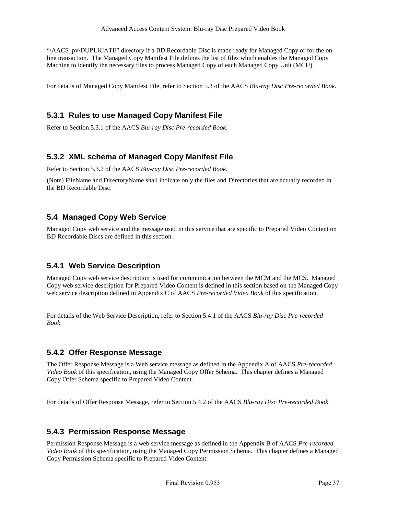"\AACS\_pv\DUPLICATE" directory if a BD Recordable Disc is made ready for Managed Copy or for the online transaction. The Managed Copy Manifest File defines the list of files which enables the Managed Copy Machine to identify the necessary files to process Managed Copy of each Managed Copy Unit (MCU).

For details of Managed Copy Manifest File, refer to Section 5.3 of the AACS *Blu-ray Disc Pre-recorded Book*.

#### **5.3.1 Rules to use Managed Copy Manifest File**

Refer to Section 5.3.1 of the AACS *Blu-ray Disc Pre-recorded Book*.

### **5.3.2 XML schema of Managed Copy Manifest File**

Refer to Section 5.3.2 of the AACS *Blu-ray Disc Pre-recorded Book*.

(Note) FileName and DirectoryName shall indicate only the files and Directories that are actually recorded in the BD Recordable Disc.

#### **5.4 Managed Copy Web Service**

Managed Copy web service and the message used in this service that are specific to Prepared Video Content on BD Recordable Discs are defined in this section.

#### **5.4.1 Web Service Description**

Managed Copy web service description is used for communication between the MCM and the MCS. Managed Copy web service description for Prepared Video Content is defined in this section based on the Managed Copy web service description defined in Appendix C of AACS *Pre-recorded Video Book* of this specification.

For details of the Web Service Description, refer to Section 5.4.1 of the AACS *Blu-ray Disc Pre-recorded Book*.

## **5.4.2 Offer Response Message**

The Offer Response Message is a Web service message as defined in the Appendix A of AACS *Pre-recorded Video Book* of this specification, using the Managed Copy Offer Schema. This chapter defines a Managed Copy Offer Schema specific to Prepared Video Content.

For details of Offer Response Message, refer to Section 5.4.2 of the AACS *Blu-ray Disc Pre-recorded Book*.

#### **5.4.3 Permission Response Message**

Permission Response Message is a web service message as defined in the Appendix B of AACS *Pre-recorded Video Book* of this specification, using the Managed Copy Permission Schema. This chapter defines a Managed Copy Permission Schema specific to Prepared Video Content.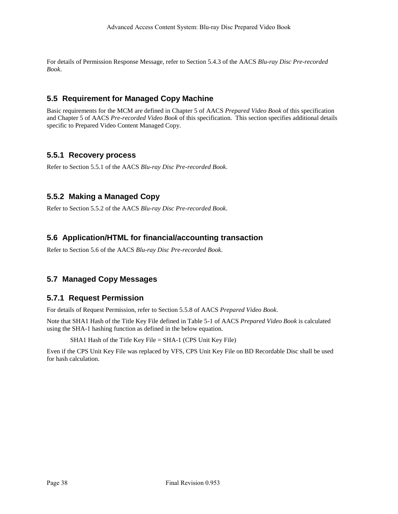For details of Permission Response Message, refer to Section 5.4.3 of the AACS *Blu-ray Disc Pre-recorded Book*.

## **5.5 Requirement for Managed Copy Machine**

Basic requirements for the MCM are defined in Chapter 5 of AACS *Prepared Video Book* of this specification and Chapter 5 of AACS *Pre-recorded Video Book* of this specification. This section specifies additional details specific to Prepared Video Content Managed Copy.

## **5.5.1 Recovery process**

Refer to Section 5.5.1 of the AACS *Blu-ray Disc Pre-recorded Book*.

## **5.5.2 Making a Managed Copy**

Refer to Section 5.5.2 of the AACS *Blu-ray Disc Pre-recorded Book*.

## **5.6 Application/HTML for financial/accounting transaction**

Refer to Section 5.6 of the AACS *Blu-ray Disc Pre-recorded Book*.

## **5.7 Managed Copy Messages**

#### **5.7.1 Request Permission**

For details of Request Permission, refer to Section 5.5.8 of AACS *Prepared Video Book*.

Note that SHA1 Hash of the Title Key File defined in Table 5-1 of AACS *Prepared Video Book* is calculated using the SHA-1 hashing function as defined in the below equation.

SHA1 Hash of the Title Key File = SHA-1 (CPS Unit Key File)

Even if the CPS Unit Key File was replaced by VFS, CPS Unit Key File on BD Recordable Disc shall be used for hash calculation.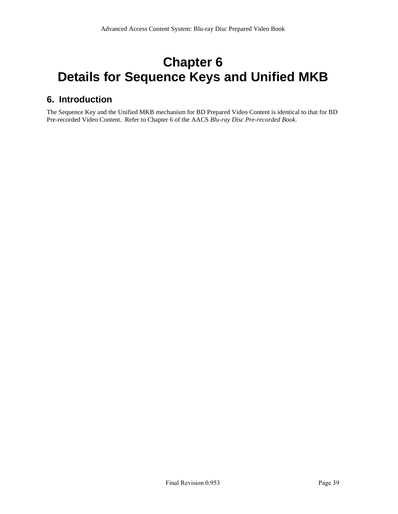# **Chapter 6 Details for Sequence Keys and Unified MKB**

## **6. Introduction**

The Sequence Key and the Unified MKB mechanism for BD Prepared Video Content is identical to that for BD Pre-recorded Video Content. Refer to Chapter 6 of the AACS *Blu-ray Disc Pre-recorded Book*.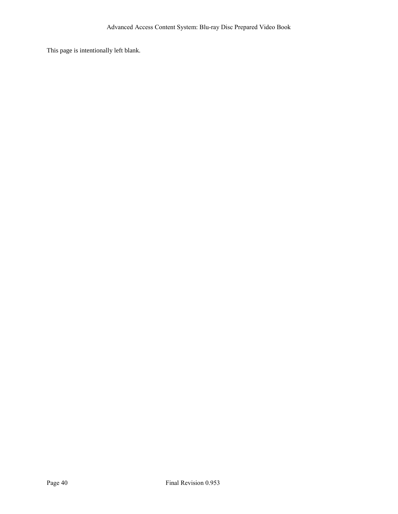This page is intentionally left blank.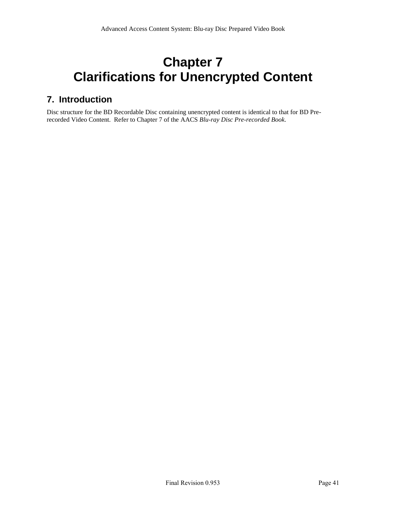# **Chapter 7 Clarifications for Unencrypted Content**

## **7. Introduction**

Disc structure for the BD Recordable Disc containing unencrypted content is identical to that for BD Prerecorded Video Content. Refer to Chapter 7 of the AACS *Blu-ray Disc Pre-recorded Book*.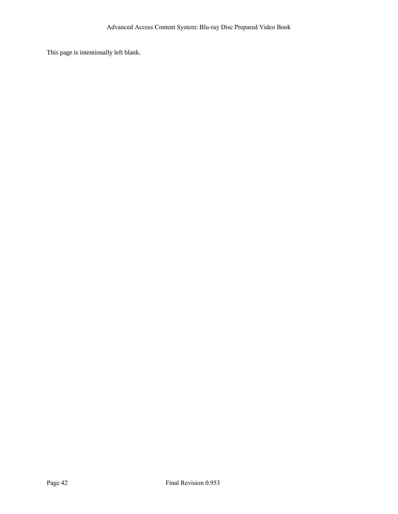This page is intentionally left blank.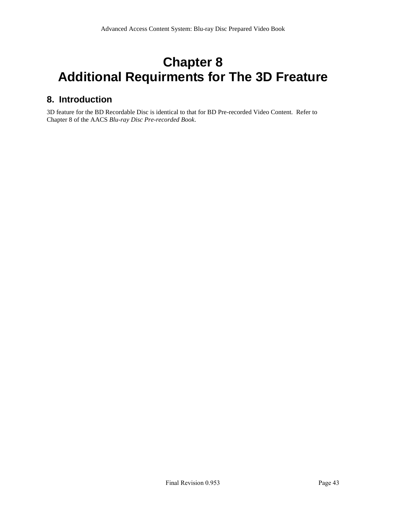# **Chapter 8 Additional Requirments for The 3D Freature**

## **8. Introduction**

3D feature for the BD Recordable Disc is identical to that for BD Pre-recorded Video Content. Refer to Chapter 8 of the AACS *Blu-ray Disc Pre-recorded Book*.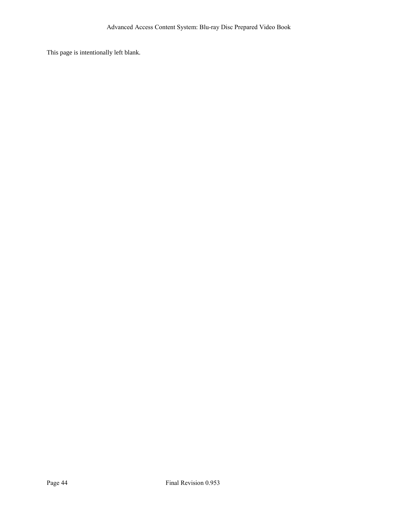This page is intentionally left blank.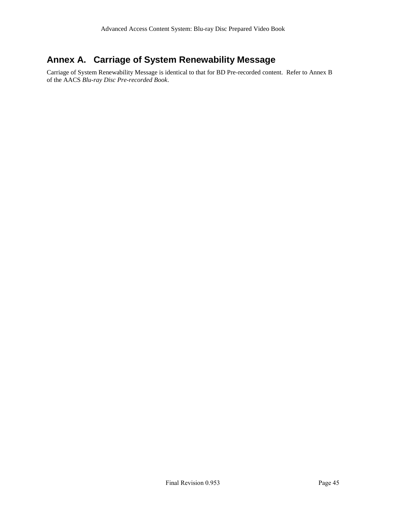## **Annex A. Carriage of System Renewability Message**

Carriage of System Renewability Message is identical to that for BD Pre-recorded content. Refer to Annex B of the AACS *Blu-ray Disc Pre-recorded Book*.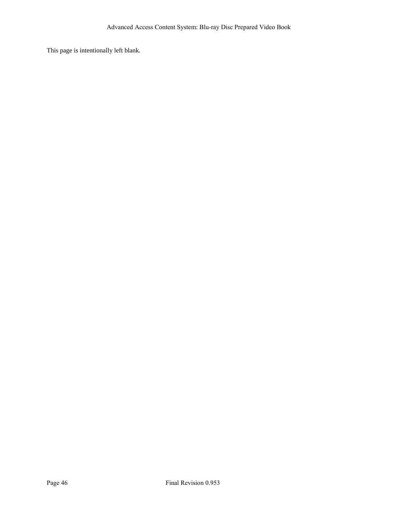This page is intentionally left blank.